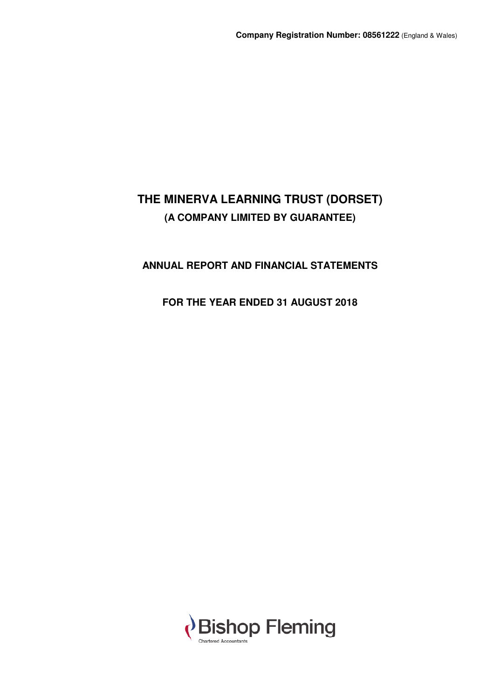# **ANNUAL REPORT AND FINANCIAL STATEMENTS**

# **FOR THE YEAR ENDED 31 AUGUST 2018**

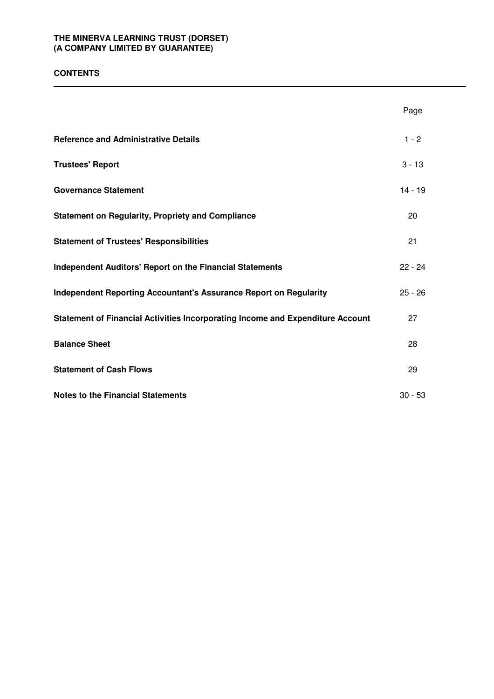# **CONTENTS**

|                                                                                | Page      |
|--------------------------------------------------------------------------------|-----------|
| <b>Reference and Administrative Details</b>                                    | $1 - 2$   |
| <b>Trustees' Report</b>                                                        | $3 - 13$  |
| <b>Governance Statement</b>                                                    | $14 - 19$ |
| <b>Statement on Regularity, Propriety and Compliance</b>                       | 20        |
| <b>Statement of Trustees' Responsibilities</b>                                 | 21        |
| <b>Independent Auditors' Report on the Financial Statements</b>                | $22 - 24$ |
| <b>Independent Reporting Accountant's Assurance Report on Regularity</b>       | $25 - 26$ |
| Statement of Financial Activities Incorporating Income and Expenditure Account | 27        |
| <b>Balance Sheet</b>                                                           | 28        |
| <b>Statement of Cash Flows</b>                                                 | 29        |
| <b>Notes to the Financial Statements</b>                                       | $30 - 53$ |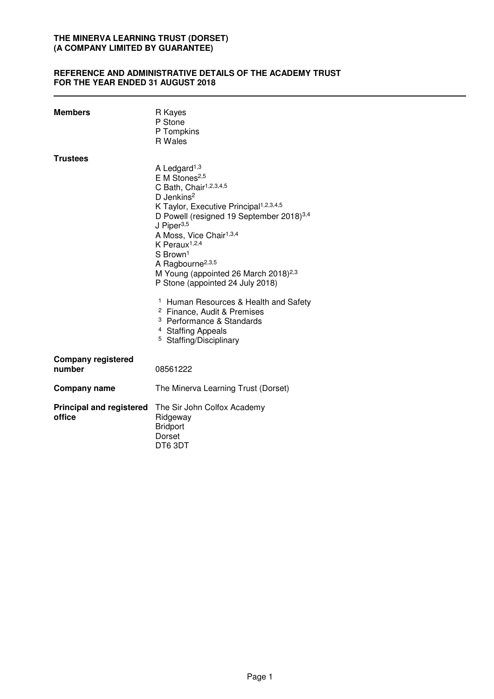# **REFERENCE AND ADMINISTRATIVE DETAILS OF THE ACADEMY TRUST FOR THE YEAR ENDED 31 AUGUST 2018**

| <b>Members</b>                            | R Kayes<br>P Stone<br>P Tompkins<br>R Wales                                                                                                                                                                                                                                                                                                                                                                                                                                                                                                                                                                                                                                                    |
|-------------------------------------------|------------------------------------------------------------------------------------------------------------------------------------------------------------------------------------------------------------------------------------------------------------------------------------------------------------------------------------------------------------------------------------------------------------------------------------------------------------------------------------------------------------------------------------------------------------------------------------------------------------------------------------------------------------------------------------------------|
| <b>Trustees</b>                           | A Ledgard <sup>1,3</sup><br>E M Stones <sup>2,5</sup><br>C Bath, Chair <sup>1,2,3,4,5</sup><br>D Jenkins <sup>2</sup><br>K Taylor, Executive Principal <sup>1,2,3,4,5</sup><br>D Powell (resigned 19 September 2018) <sup>3,4</sup><br>J Piper <sup>3,5</sup><br>A Moss, Vice Chair <sup>1,3,4</sup><br>K Peraux <sup>1,2,4</sup><br>S Brown <sup>1</sup><br>A Ragbourne <sup>2,3,5</sup><br>M Young (appointed 26 March 2018) <sup>2,3</sup><br>P Stone (appointed 24 July 2018)<br><sup>1</sup> Human Resources & Health and Safety<br><sup>2</sup> Finance, Audit & Premises<br><sup>3</sup> Performance & Standards<br><sup>4</sup> Staffing Appeals<br><sup>5</sup> Staffing/Disciplinary |
| <b>Company registered</b><br>number       | 08561222                                                                                                                                                                                                                                                                                                                                                                                                                                                                                                                                                                                                                                                                                       |
| <b>Company name</b>                       | The Minerva Learning Trust (Dorset)                                                                                                                                                                                                                                                                                                                                                                                                                                                                                                                                                                                                                                                            |
| <b>Principal and registered</b><br>office | The Sir John Colfox Academy<br>Ridgeway<br><b>Bridport</b><br>Dorset<br>DT63DT                                                                                                                                                                                                                                                                                                                                                                                                                                                                                                                                                                                                                 |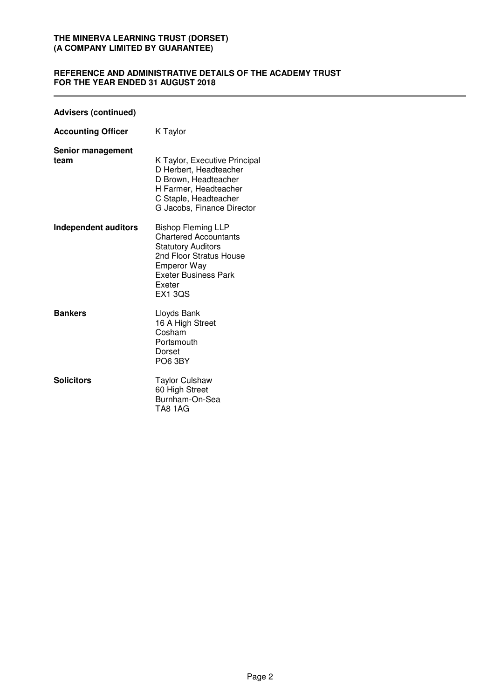# **REFERENCE AND ADMINISTRATIVE DETAILS OF THE ACADEMY TRUST FOR THE YEAR ENDED 31 AUGUST 2018**

# **Advisers (continued)**

| <b>Accounting Officer</b>        | K Taylor                                                                                                                                                                                           |
|----------------------------------|----------------------------------------------------------------------------------------------------------------------------------------------------------------------------------------------------|
| <b>Senior management</b><br>team | K Taylor, Executive Principal<br>D Herbert, Headteacher<br>D Brown, Headteacher<br>H Farmer, Headteacher<br>C Staple, Headteacher<br>G Jacobs, Finance Director                                    |
| Independent auditors             | <b>Bishop Fleming LLP</b><br><b>Chartered Accountants</b><br><b>Statutory Auditors</b><br>2nd Floor Stratus House<br><b>Emperor Way</b><br><b>Exeter Business Park</b><br>Exeter<br><b>EX1 3QS</b> |
| <b>Bankers</b>                   | Lloyds Bank<br>16 A High Street<br>Cosham<br>Portsmouth<br>Dorset<br>PO6 3BY                                                                                                                       |
| <b>Solicitors</b>                | Taylor Culshaw<br>60 High Street<br>Burnham-On-Sea<br><b>TA8 1AG</b>                                                                                                                               |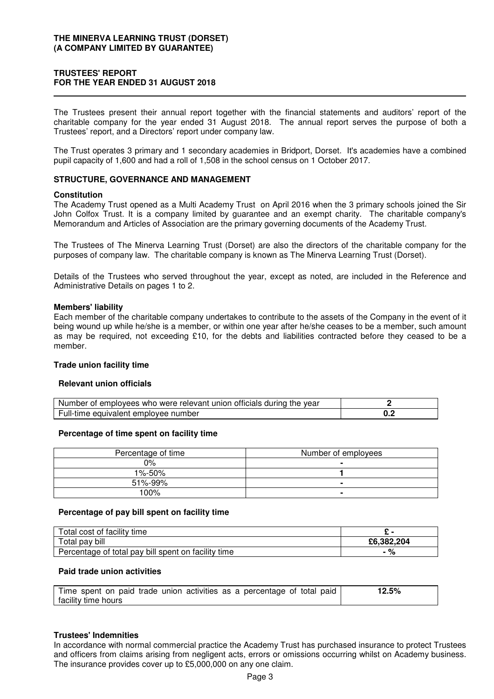# **TRUSTEES' REPORT FOR THE YEAR ENDED 31 AUGUST 2018**

The Trustees present their annual report together with the financial statements and auditors' report of the charitable company for the year ended 31 August 2018. The annual report serves the purpose of both a Trustees' report, and a Directors' report under company law.

The Trust operates 3 primary and 1 secondary academies in Bridport, Dorset. It's academies have a combined pupil capacity of 1,600 and had a roll of 1,508 in the school census on 1 October 2017.

# **STRUCTURE, GOVERNANCE AND MANAGEMENT**

#### **Constitution**

The Academy Trust opened as a Multi Academy Trust on April 2016 when the 3 primary schools joined the Sir John Colfox Trust. It is a company limited by guarantee and an exempt charity. The charitable company's Memorandum and Articles of Association are the primary governing documents of the Academy Trust.

The Trustees of The Minerva Learning Trust (Dorset) are also the directors of the charitable company for the purposes of company law. The charitable company is known as The Minerva Learning Trust (Dorset).

Details of the Trustees who served throughout the year, except as noted, are included in the Reference and Administrative Details on pages 1 to 2.

#### **Members' liability**

Each member of the charitable company undertakes to contribute to the assets of the Company in the event of it being wound up while he/she is a member, or within one year after he/she ceases to be a member, such amount as may be required, not exceeding £10, for the debts and liabilities contracted before they ceased to be a member.

#### **Trade union facility time**

#### **Relevant union officials**

| Number of employees who were relevant union officials during the year |  |
|-----------------------------------------------------------------------|--|
| Full-time equivalent employee number                                  |  |

#### **Percentage of time spent on facility time**

| Percentage of time | Number of employees |
|--------------------|---------------------|
| $0\%$              |                     |
| $1\% - 50\%$       |                     |
| 51%-99%            |                     |
| 100%               |                     |

#### **Percentage of pay bill spent on facility time**

| Total cost of facility time                         |            |
|-----------------------------------------------------|------------|
| Total pay bill                                      | £6.382.204 |
| Percentage of total pay bill spent on facility time | 70         |

#### **Paid trade union activities**

| Time spent on paid trade union activities as a percentage of total paid | 12.5% |
|-------------------------------------------------------------------------|-------|
| facility time hours                                                     |       |

#### **Trustees' Indemnities**

In accordance with normal commercial practice the Academy Trust has purchased insurance to protect Trustees and officers from claims arising from negligent acts, errors or omissions occurring whilst on Academy business. The insurance provides cover up to £5,000,000 on any one claim.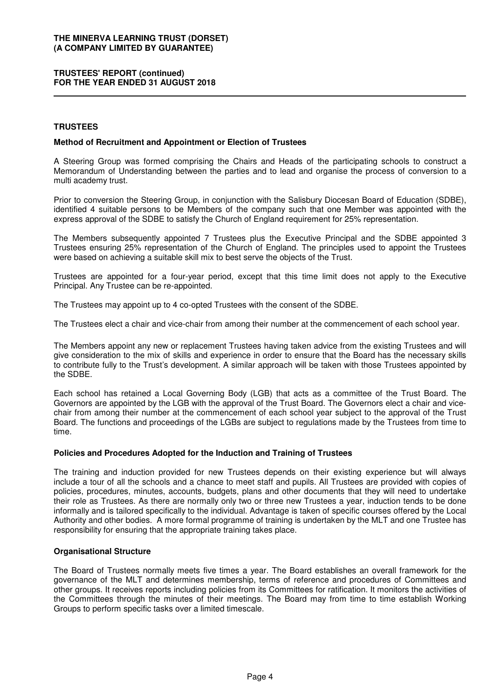# **TRUSTEES' REPORT (continued) FOR THE YEAR ENDED 31 AUGUST 2018**

# **TRUSTEES**

### **Method of Recruitment and Appointment or Election of Trustees**

A Steering Group was formed comprising the Chairs and Heads of the participating schools to construct a Memorandum of Understanding between the parties and to lead and organise the process of conversion to a multi academy trust.

Prior to conversion the Steering Group, in conjunction with the Salisbury Diocesan Board of Education (SDBE), identified 4 suitable persons to be Members of the company such that one Member was appointed with the express approval of the SDBE to satisfy the Church of England requirement for 25% representation.

The Members subsequently appointed 7 Trustees plus the Executive Principal and the SDBE appointed 3 Trustees ensuring 25% representation of the Church of England. The principles used to appoint the Trustees were based on achieving a suitable skill mix to best serve the objects of the Trust.

Trustees are appointed for a four-year period, except that this time limit does not apply to the Executive Principal. Any Trustee can be re-appointed.

The Trustees may appoint up to 4 co-opted Trustees with the consent of the SDBE.

The Trustees elect a chair and vice-chair from among their number at the commencement of each school year.

The Members appoint any new or replacement Trustees having taken advice from the existing Trustees and will give consideration to the mix of skills and experience in order to ensure that the Board has the necessary skills to contribute fully to the Trust's development. A similar approach will be taken with those Trustees appointed by the SDBE.

Each school has retained a Local Governing Body (LGB) that acts as a committee of the Trust Board. The Governors are appointed by the LGB with the approval of the Trust Board. The Governors elect a chair and vicechair from among their number at the commencement of each school year subject to the approval of the Trust Board. The functions and proceedings of the LGBs are subject to regulations made by the Trustees from time to time.

#### **Policies and Procedures Adopted for the Induction and Training of Trustees**

The training and induction provided for new Trustees depends on their existing experience but will always include a tour of all the schools and a chance to meet staff and pupils. All Trustees are provided with copies of policies, procedures, minutes, accounts, budgets, plans and other documents that they will need to undertake their role as Trustees. As there are normally only two or three new Trustees a year, induction tends to be done informally and is tailored specifically to the individual. Advantage is taken of specific courses offered by the Local Authority and other bodies. A more formal programme of training is undertaken by the MLT and one Trustee has responsibility for ensuring that the appropriate training takes place.

# **Organisational Structure**

The Board of Trustees normally meets five times a year. The Board establishes an overall framework for the governance of the MLT and determines membership, terms of reference and procedures of Committees and other groups. It receives reports including policies from its Committees for ratification. It monitors the activities of the Committees through the minutes of their meetings. The Board may from time to time establish Working Groups to perform specific tasks over a limited timescale.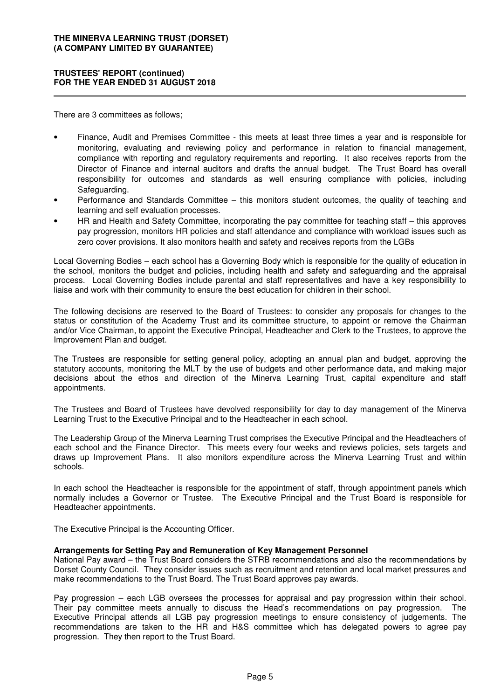## **TRUSTEES' REPORT (continued) FOR THE YEAR ENDED 31 AUGUST 2018**

There are 3 committees as follows;

- Finance, Audit and Premises Committee this meets at least three times a year and is responsible for monitoring, evaluating and reviewing policy and performance in relation to financial management, compliance with reporting and regulatory requirements and reporting. It also receives reports from the Director of Finance and internal auditors and drafts the annual budget. The Trust Board has overall responsibility for outcomes and standards as well ensuring compliance with policies, including Safeguarding.
- Performance and Standards Committee this monitors student outcomes, the quality of teaching and learning and self evaluation processes.
- HR and Health and Safety Committee, incorporating the pay committee for teaching staff this approves pay progression, monitors HR policies and staff attendance and compliance with workload issues such as zero cover provisions. It also monitors health and safety and receives reports from the LGBs

Local Governing Bodies – each school has a Governing Body which is responsible for the quality of education in the school, monitors the budget and policies, including health and safety and safeguarding and the appraisal process. Local Governing Bodies include parental and staff representatives and have a key responsibility to liaise and work with their community to ensure the best education for children in their school.

The following decisions are reserved to the Board of Trustees: to consider any proposals for changes to the status or constitution of the Academy Trust and its committee structure, to appoint or remove the Chairman and/or Vice Chairman, to appoint the Executive Principal, Headteacher and Clerk to the Trustees, to approve the Improvement Plan and budget.

The Trustees are responsible for setting general policy, adopting an annual plan and budget, approving the statutory accounts, monitoring the MLT by the use of budgets and other performance data, and making major decisions about the ethos and direction of the Minerva Learning Trust, capital expenditure and staff appointments.

The Trustees and Board of Trustees have devolved responsibility for day to day management of the Minerva Learning Trust to the Executive Principal and to the Headteacher in each school.

The Leadership Group of the Minerva Learning Trust comprises the Executive Principal and the Headteachers of each school and the Finance Director. This meets every four weeks and reviews policies, sets targets and draws up Improvement Plans. It also monitors expenditure across the Minerva Learning Trust and within schools.

In each school the Headteacher is responsible for the appointment of staff, through appointment panels which normally includes a Governor or Trustee. The Executive Principal and the Trust Board is responsible for Headteacher appointments.

The Executive Principal is the Accounting Officer.

# **Arrangements for Setting Pay and Remuneration of Key Management Personnel**

National Pay award – the Trust Board considers the STRB recommendations and also the recommendations by Dorset County Council. They consider issues such as recruitment and retention and local market pressures and make recommendations to the Trust Board. The Trust Board approves pay awards.

Pay progression – each LGB oversees the processes for appraisal and pay progression within their school. Their pay committee meets annually to discuss the Head's recommendations on pay progression. The Executive Principal attends all LGB pay progression meetings to ensure consistency of judgements. The recommendations are taken to the HR and H&S committee which has delegated powers to agree pay progression. They then report to the Trust Board.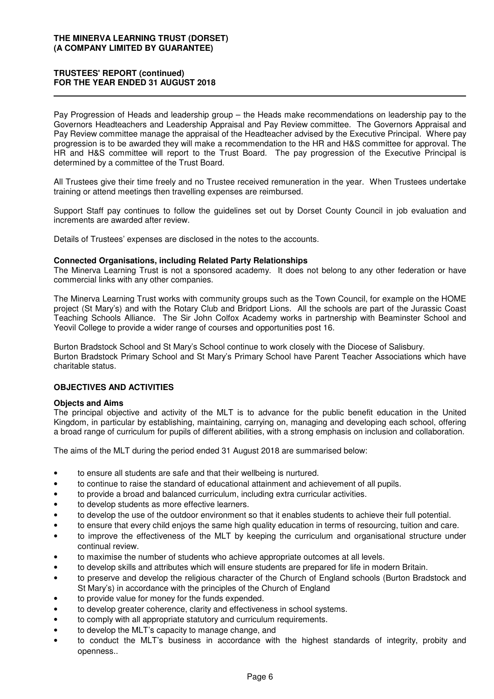# **TRUSTEES' REPORT (continued) FOR THE YEAR ENDED 31 AUGUST 2018**

Pay Progression of Heads and leadership group – the Heads make recommendations on leadership pay to the Governors Headteachers and Leadership Appraisal and Pay Review committee. The Governors Appraisal and Pay Review committee manage the appraisal of the Headteacher advised by the Executive Principal. Where pay progression is to be awarded they will make a recommendation to the HR and H&S committee for approval. The HR and H&S committee will report to the Trust Board. The pay progression of the Executive Principal is determined by a committee of the Trust Board.

All Trustees give their time freely and no Trustee received remuneration in the year. When Trustees undertake training or attend meetings then travelling expenses are reimbursed.

Support Staff pay continues to follow the guidelines set out by Dorset County Council in job evaluation and increments are awarded after review.

Details of Trustees' expenses are disclosed in the notes to the accounts.

#### **Connected Organisations, including Related Party Relationships**

The Minerva Learning Trust is not a sponsored academy. It does not belong to any other federation or have commercial links with any other companies.

The Minerva Learning Trust works with community groups such as the Town Council, for example on the HOME project (St Mary's) and with the Rotary Club and Bridport Lions. All the schools are part of the Jurassic Coast Teaching Schools Alliance. The Sir John Colfox Academy works in partnership with Beaminster School and Yeovil College to provide a wider range of courses and opportunities post 16.

Burton Bradstock School and St Mary's School continue to work closely with the Diocese of Salisbury. Burton Bradstock Primary School and St Mary's Primary School have Parent Teacher Associations which have charitable status.

# **OBJECTIVES AND ACTIVITIES**

#### **Objects and Aims**

The principal objective and activity of the MLT is to advance for the public benefit education in the United Kingdom, in particular by establishing, maintaining, carrying on, managing and developing each school, offering a broad range of curriculum for pupils of different abilities, with a strong emphasis on inclusion and collaboration.

The aims of the MLT during the period ended 31 August 2018 are summarised below:

- to ensure all students are safe and that their wellbeing is nurtured.
- to continue to raise the standard of educational attainment and achievement of all pupils.
- to provide a broad and balanced curriculum, including extra curricular activities.
- to develop students as more effective learners.
- to develop the use of the outdoor environment so that it enables students to achieve their full potential.
- to ensure that every child enjoys the same high quality education in terms of resourcing, tuition and care.
- to improve the effectiveness of the MLT by keeping the curriculum and organisational structure under continual review.
- to maximise the number of students who achieve appropriate outcomes at all levels.
- to develop skills and attributes which will ensure students are prepared for life in modern Britain.
- to preserve and develop the religious character of the Church of England schools (Burton Bradstock and St Mary's) in accordance with the principles of the Church of England
- to provide value for money for the funds expended.
- to develop greater coherence, clarity and effectiveness in school systems.
- to comply with all appropriate statutory and curriculum requirements.
- to develop the MLT's capacity to manage change, and
- to conduct the MLT's business in accordance with the highest standards of integrity, probity and openness..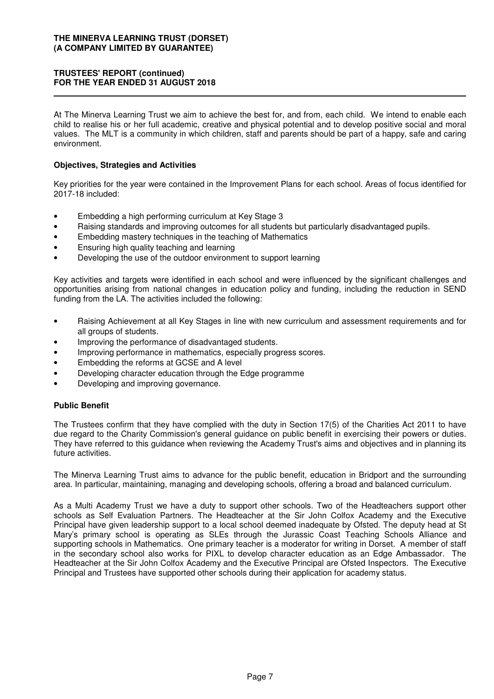# **TRUSTEES' REPORT (continued) FOR THE YEAR ENDED 31 AUGUST 2018**

At The Minerva Learning Trust we aim to achieve the best for, and from, each child. We intend to enable each child to realise his or her full academic, creative and physical potential and to develop positive social and moral values. The MLT is a community in which children, staff and parents should be part of a happy, safe and caring environment.

# **Objectives, Strategies and Activities**

Key priorities for the year were contained in the Improvement Plans for each school. Areas of focus identified for 2017-18 included:

- Embedding a high performing curriculum at Key Stage 3
- Raising standards and improving outcomes for all students but particularly disadvantaged pupils.
- Embedding mastery techniques in the teaching of Mathematics
- Ensuring high quality teaching and learning
- Developing the use of the outdoor environment to support learning

Key activities and targets were identified in each school and were influenced by the significant challenges and opportunities arising from national changes in education policy and funding, including the reduction in SEND funding from the LA. The activities included the following:

- Raising Achievement at all Key Stages in line with new curriculum and assessment requirements and for all groups of students.
- Improving the performance of disadvantaged students.
- Improving performance in mathematics, especially progress scores.
- Embedding the reforms at GCSE and A level
- Developing character education through the Edge programme
- Developing and improving governance.

#### **Public Benefit**

The Trustees confirm that they have complied with the duty in Section 17(5) of the Charities Act 2011 to have due regard to the Charity Commission's general guidance on public benefit in exercising their powers or duties. They have referred to this guidance when reviewing the Academy Trust's aims and objectives and in planning its future activities.

The Minerva Learning Trust aims to advance for the public benefit, education in Bridport and the surrounding area. In particular, maintaining, managing and developing schools, offering a broad and balanced curriculum.

As a Multi Academy Trust we have a duty to support other schools. Two of the Headteachers support other schools as Self Evaluation Partners. The Headteacher at the Sir John Colfox Academy and the Executive Principal have given leadership support to a local school deemed inadequate by Ofsted. The deputy head at St Mary's primary school is operating as SLEs through the Jurassic Coast Teaching Schools Alliance and supporting schools in Mathematics. One primary teacher is a moderator for writing in Dorset. A member of staff in the secondary school also works for PIXL to develop character education as an Edge Ambassador. The Headteacher at the Sir John Colfox Academy and the Executive Principal are Ofsted Inspectors. The Executive Principal and Trustees have supported other schools during their application for academy status.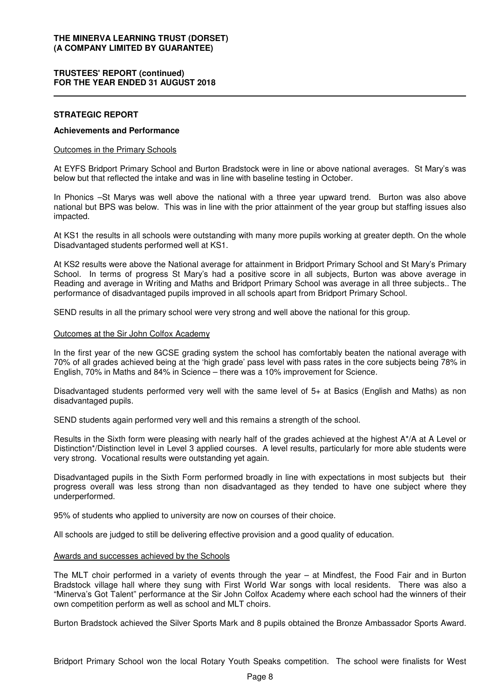### **TRUSTEES' REPORT (continued) FOR THE YEAR ENDED 31 AUGUST 2018**

#### **STRATEGIC REPORT**

#### **Achievements and Performance**

#### Outcomes in the Primary Schools

At EYFS Bridport Primary School and Burton Bradstock were in line or above national averages. St Mary's was below but that reflected the intake and was in line with baseline testing in October.

In Phonics –St Marys was well above the national with a three year upward trend. Burton was also above national but BPS was below. This was in line with the prior attainment of the year group but staffing issues also impacted.

At KS1 the results in all schools were outstanding with many more pupils working at greater depth. On the whole Disadvantaged students performed well at KS1.

At KS2 results were above the National average for attainment in Bridport Primary School and St Mary's Primary School. In terms of progress St Mary's had a positive score in all subjects, Burton was above average in Reading and average in Writing and Maths and Bridport Primary School was average in all three subjects.. The performance of disadvantaged pupils improved in all schools apart from Bridport Primary School.

SEND results in all the primary school were very strong and well above the national for this group.

#### Outcomes at the Sir John Colfox Academy

In the first year of the new GCSE grading system the school has comfortably beaten the national average with 70% of all grades achieved being at the 'high grade' pass level with pass rates in the core subjects being 78% in English, 70% in Maths and 84% in Science – there was a 10% improvement for Science.

Disadvantaged students performed very well with the same level of 5+ at Basics (English and Maths) as non disadvantaged pupils.

SEND students again performed very well and this remains a strength of the school.

Results in the Sixth form were pleasing with nearly half of the grades achieved at the highest A\*/A at A Level or Distinction\*/Distinction level in Level 3 applied courses. A level results, particularly for more able students were very strong. Vocational results were outstanding yet again.

Disadvantaged pupils in the Sixth Form performed broadly in line with expectations in most subjects but their progress overall was less strong than non disadvantaged as they tended to have one subject where they underperformed.

95% of students who applied to university are now on courses of their choice.

All schools are judged to still be delivering effective provision and a good quality of education.

#### Awards and successes achieved by the Schools

The MLT choir performed in a variety of events through the year – at Mindfest, the Food Fair and in Burton Bradstock village hall where they sung with First World War songs with local residents. There was also a "Minerva's Got Talent" performance at the Sir John Colfox Academy where each school had the winners of their own competition perform as well as school and MLT choirs.

Burton Bradstock achieved the Silver Sports Mark and 8 pupils obtained the Bronze Ambassador Sports Award.

Bridport Primary School won the local Rotary Youth Speaks competition. The school were finalists for West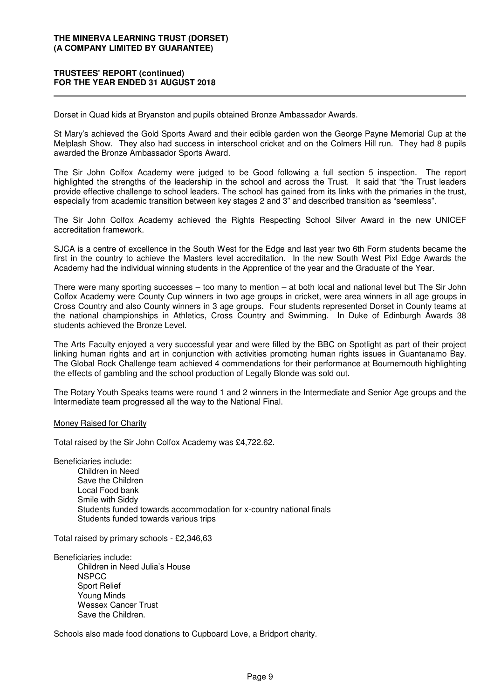## **TRUSTEES' REPORT (continued) FOR THE YEAR ENDED 31 AUGUST 2018**

Dorset in Quad kids at Bryanston and pupils obtained Bronze Ambassador Awards.

St Mary's achieved the Gold Sports Award and their edible garden won the George Payne Memorial Cup at the Melplash Show. They also had success in interschool cricket and on the Colmers Hill run. They had 8 pupils awarded the Bronze Ambassador Sports Award.

The Sir John Colfox Academy were judged to be Good following a full section 5 inspection. The report highlighted the strengths of the leadership in the school and across the Trust. It said that "the Trust leaders provide effective challenge to school leaders. The school has gained from its links with the primaries in the trust, especially from academic transition between key stages 2 and 3" and described transition as "seemless".

The Sir John Colfox Academy achieved the Rights Respecting School Silver Award in the new UNICEF accreditation framework.

SJCA is a centre of excellence in the South West for the Edge and last year two 6th Form students became the first in the country to achieve the Masters level accreditation. In the new South West Pixl Edge Awards the Academy had the individual winning students in the Apprentice of the year and the Graduate of the Year.

There were many sporting successes – too many to mention – at both local and national level but The Sir John Colfox Academy were County Cup winners in two age groups in cricket, were area winners in all age groups in Cross Country and also County winners in 3 age groups. Four students represented Dorset in County teams at the national championships in Athletics, Cross Country and Swimming. In Duke of Edinburgh Awards 38 students achieved the Bronze Level.

The Arts Faculty enjoyed a very successful year and were filled by the BBC on Spotlight as part of their project linking human rights and art in conjunction with activities promoting human rights issues in Guantanamo Bay. The Global Rock Challenge team achieved 4 commendations for their performance at Bournemouth highlighting the effects of gambling and the school production of Legally Blonde was sold out.

The Rotary Youth Speaks teams were round 1 and 2 winners in the Intermediate and Senior Age groups and the Intermediate team progressed all the way to the National Final.

#### Money Raised for Charity

Total raised by the Sir John Colfox Academy was £4,722.62.

Beneficiaries include:

Children in Need Save the Children Local Food bank Smile with Siddy Students funded towards accommodation for x-country national finals Students funded towards various trips

Total raised by primary schools - £2,346,63

Beneficiaries include: Children in Need Julia's House **NSPCC** Sport Relief Young Minds Wessex Cancer Trust Save the Children.

Schools also made food donations to Cupboard Love, a Bridport charity.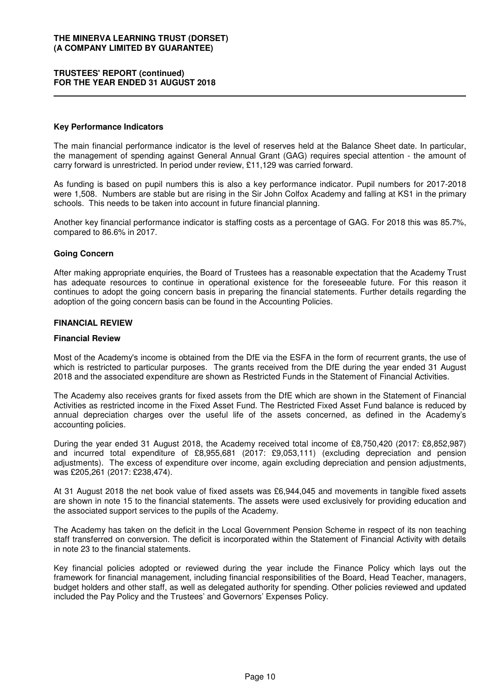### **TRUSTEES' REPORT (continued) FOR THE YEAR ENDED 31 AUGUST 2018**

#### **Key Performance Indicators**

The main financial performance indicator is the level of reserves held at the Balance Sheet date. In particular, the management of spending against General Annual Grant (GAG) requires special attention - the amount of carry forward is unrestricted. In period under review, £11,129 was carried forward.

As funding is based on pupil numbers this is also a key performance indicator. Pupil numbers for 2017-2018 were 1,508. Numbers are stable but are rising in the Sir John Colfox Academy and falling at KS1 in the primary schools. This needs to be taken into account in future financial planning.

Another key financial performance indicator is staffing costs as a percentage of GAG. For 2018 this was 85.7%, compared to 86.6% in 2017.

### **Going Concern**

After making appropriate enquiries, the Board of Trustees has a reasonable expectation that the Academy Trust has adequate resources to continue in operational existence for the foreseeable future. For this reason it continues to adopt the going concern basis in preparing the financial statements. Further details regarding the adoption of the going concern basis can be found in the Accounting Policies.

#### **FINANCIAL REVIEW**

#### **Financial Review**

Most of the Academy's income is obtained from the DfE via the ESFA in the form of recurrent grants, the use of which is restricted to particular purposes. The grants received from the DfE during the year ended 31 August 2018 and the associated expenditure are shown as Restricted Funds in the Statement of Financial Activities.

The Academy also receives grants for fixed assets from the DfE which are shown in the Statement of Financial Activities as restricted income in the Fixed Asset Fund. The Restricted Fixed Asset Fund balance is reduced by annual depreciation charges over the useful life of the assets concerned, as defined in the Academy's accounting policies.

During the year ended 31 August 2018, the Academy received total income of £8,750,420 (2017: £8,852,987) and incurred total expenditure of £8,955,681 (2017: £9,053,111) (excluding depreciation and pension adjustments). The excess of expenditure over income, again excluding depreciation and pension adjustments, was £205,261 (2017: £238,474).

At 31 August 2018 the net book value of fixed assets was £6,944,045 and movements in tangible fixed assets are shown in note 15 to the financial statements. The assets were used exclusively for providing education and the associated support services to the pupils of the Academy.

The Academy has taken on the deficit in the Local Government Pension Scheme in respect of its non teaching staff transferred on conversion. The deficit is incorporated within the Statement of Financial Activity with details in note 23 to the financial statements.

Key financial policies adopted or reviewed during the year include the Finance Policy which lays out the framework for financial management, including financial responsibilities of the Board, Head Teacher, managers, budget holders and other staff, as well as delegated authority for spending. Other policies reviewed and updated included the Pay Policy and the Trustees' and Governors' Expenses Policy.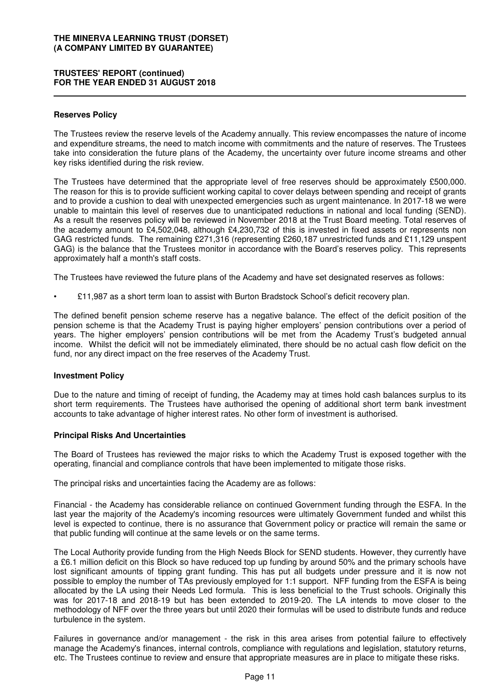# **TRUSTEES' REPORT (continued) FOR THE YEAR ENDED 31 AUGUST 2018**

#### **Reserves Policy**

The Trustees review the reserve levels of the Academy annually. This review encompasses the nature of income and expenditure streams, the need to match income with commitments and the nature of reserves. The Trustees take into consideration the future plans of the Academy, the uncertainty over future income streams and other key risks identified during the risk review.

The Trustees have determined that the appropriate level of free reserves should be approximately £500,000. The reason for this is to provide sufficient working capital to cover delays between spending and receipt of grants and to provide a cushion to deal with unexpected emergencies such as urgent maintenance. In 2017-18 we were unable to maintain this level of reserves due to unanticipated reductions in national and local funding (SEND). As a result the reserves policy will be reviewed in November 2018 at the Trust Board meeting. Total reserves of the academy amount to £4,502,048, although £4,230,732 of this is invested in fixed assets or represents non GAG restricted funds. The remaining £271,316 (representing £260,187 unrestricted funds and £11,129 unspent GAG) is the balance that the Trustees monitor in accordance with the Board's reserves policy. This represents approximately half a month's staff costs.

The Trustees have reviewed the future plans of the Academy and have set designated reserves as follows:

• £11,987 as a short term loan to assist with Burton Bradstock School's deficit recovery plan.

The defined benefit pension scheme reserve has a negative balance. The effect of the deficit position of the pension scheme is that the Academy Trust is paying higher employers' pension contributions over a period of years. The higher employers' pension contributions will be met from the Academy Trust's budgeted annual income. Whilst the deficit will not be immediately eliminated, there should be no actual cash flow deficit on the fund, nor any direct impact on the free reserves of the Academy Trust.

#### **Investment Policy**

Due to the nature and timing of receipt of funding, the Academy may at times hold cash balances surplus to its short term requirements. The Trustees have authorised the opening of additional short term bank investment accounts to take advantage of higher interest rates. No other form of investment is authorised.

#### **Principal Risks And Uncertainties**

The Board of Trustees has reviewed the major risks to which the Academy Trust is exposed together with the operating, financial and compliance controls that have been implemented to mitigate those risks.

The principal risks and uncertainties facing the Academy are as follows:

Financial - the Academy has considerable reliance on continued Government funding through the ESFA. In the last year the majority of the Academy's incoming resources were ultimately Government funded and whilst this level is expected to continue, there is no assurance that Government policy or practice will remain the same or that public funding will continue at the same levels or on the same terms.

The Local Authority provide funding from the High Needs Block for SEND students. However, they currently have a £6.1 million deficit on this Block so have reduced top up funding by around 50% and the primary schools have lost significant amounts of tipping grant funding. This has put all budgets under pressure and it is now not possible to employ the number of TAs previously employed for 1:1 support. NFF funding from the ESFA is being allocated by the LA using their Needs Led formula. This is less beneficial to the Trust schools. Originally this was for 2017-18 and 2018-19 but has been extended to 2019-20. The LA intends to move closer to the methodology of NFF over the three years but until 2020 their formulas will be used to distribute funds and reduce turbulence in the system.

Failures in governance and/or management - the risk in this area arises from potential failure to effectively manage the Academy's finances, internal controls, compliance with regulations and legislation, statutory returns, etc. The Trustees continue to review and ensure that appropriate measures are in place to mitigate these risks.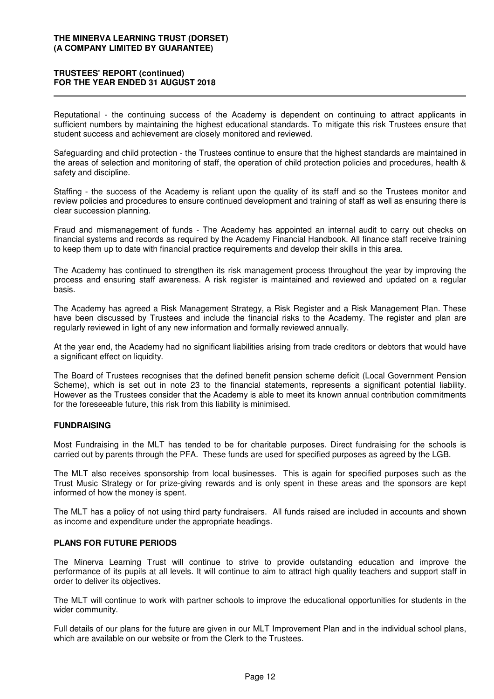#### **TRUSTEES' REPORT (continued) FOR THE YEAR ENDED 31 AUGUST 2018**

Reputational - the continuing success of the Academy is dependent on continuing to attract applicants in sufficient numbers by maintaining the highest educational standards. To mitigate this risk Trustees ensure that student success and achievement are closely monitored and reviewed.

Safeguarding and child protection - the Trustees continue to ensure that the highest standards are maintained in the areas of selection and monitoring of staff, the operation of child protection policies and procedures, health & safety and discipline.

Staffing - the success of the Academy is reliant upon the quality of its staff and so the Trustees monitor and review policies and procedures to ensure continued development and training of staff as well as ensuring there is clear succession planning.

Fraud and mismanagement of funds - The Academy has appointed an internal audit to carry out checks on financial systems and records as required by the Academy Financial Handbook. All finance staff receive training to keep them up to date with financial practice requirements and develop their skills in this area.

The Academy has continued to strengthen its risk management process throughout the year by improving the process and ensuring staff awareness. A risk register is maintained and reviewed and updated on a regular basis.

The Academy has agreed a Risk Management Strategy, a Risk Register and a Risk Management Plan. These have been discussed by Trustees and include the financial risks to the Academy. The register and plan are regularly reviewed in light of any new information and formally reviewed annually.

At the year end, the Academy had no significant liabilities arising from trade creditors or debtors that would have a significant effect on liquidity.

The Board of Trustees recognises that the defined benefit pension scheme deficit (Local Government Pension Scheme), which is set out in note 23 to the financial statements, represents a significant potential liability. However as the Trustees consider that the Academy is able to meet its known annual contribution commitments for the foreseeable future, this risk from this liability is minimised.

# **FUNDRAISING**

Most Fundraising in the MLT has tended to be for charitable purposes. Direct fundraising for the schools is carried out by parents through the PFA. These funds are used for specified purposes as agreed by the LGB.

The MLT also receives sponsorship from local businesses. This is again for specified purposes such as the Trust Music Strategy or for prize-giving rewards and is only spent in these areas and the sponsors are kept informed of how the money is spent.

The MLT has a policy of not using third party fundraisers. All funds raised are included in accounts and shown as income and expenditure under the appropriate headings.

# **PLANS FOR FUTURE PERIODS**

The Minerva Learning Trust will continue to strive to provide outstanding education and improve the performance of its pupils at all levels. It will continue to aim to attract high quality teachers and support staff in order to deliver its objectives.

The MLT will continue to work with partner schools to improve the educational opportunities for students in the wider community.

Full details of our plans for the future are given in our MLT Improvement Plan and in the individual school plans, which are available on our website or from the Clerk to the Trustees.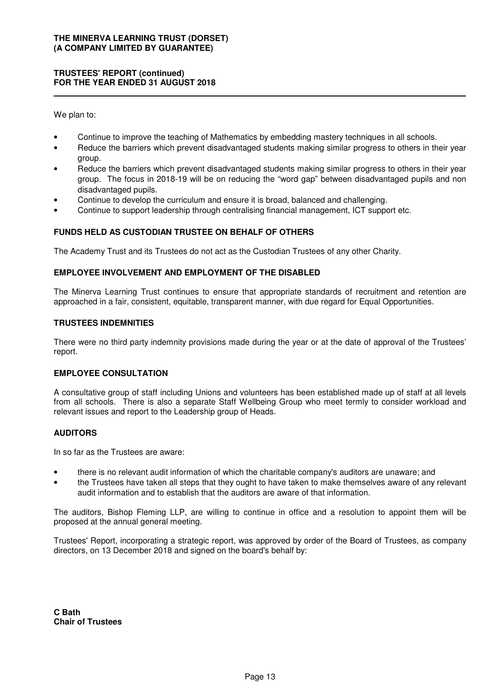# **TRUSTEES' REPORT (continued) FOR THE YEAR ENDED 31 AUGUST 2018**

We plan to:

- Continue to improve the teaching of Mathematics by embedding mastery techniques in all schools.
- Reduce the barriers which prevent disadvantaged students making similar progress to others in their year group.
- Reduce the barriers which prevent disadvantaged students making similar progress to others in their year group. The focus in 2018-19 will be on reducing the "word gap" between disadvantaged pupils and non disadvantaged pupils.
- Continue to develop the curriculum and ensure it is broad, balanced and challenging.
- Continue to support leadership through centralising financial management, ICT support etc.

# **FUNDS HELD AS CUSTODIAN TRUSTEE ON BEHALF OF OTHERS**

The Academy Trust and its Trustees do not act as the Custodian Trustees of any other Charity.

### **EMPLOYEE INVOLVEMENT AND EMPLOYMENT OF THE DISABLED**

The Minerva Learning Trust continues to ensure that appropriate standards of recruitment and retention are approached in a fair, consistent, equitable, transparent manner, with due regard for Equal Opportunities.

#### **TRUSTEES INDEMNITIES**

There were no third party indemnity provisions made during the year or at the date of approval of the Trustees' report.

#### **EMPLOYEE CONSULTATION**

A consultative group of staff including Unions and volunteers has been established made up of staff at all levels from all schools. There is also a separate Staff Wellbeing Group who meet termly to consider workload and relevant issues and report to the Leadership group of Heads.

# **AUDITORS**

In so far as the Trustees are aware:

- there is no relevant audit information of which the charitable company's auditors are unaware; and
- the Trustees have taken all steps that they ought to have taken to make themselves aware of any relevant audit information and to establish that the auditors are aware of that information.

The auditors, Bishop Fleming LLP, are willing to continue in office and a resolution to appoint them will be proposed at the annual general meeting.

Trustees' Report, incorporating a strategic report, was approved by order of the Board of Trustees, as company directors, on 13 December 2018 and signed on the board's behalf by: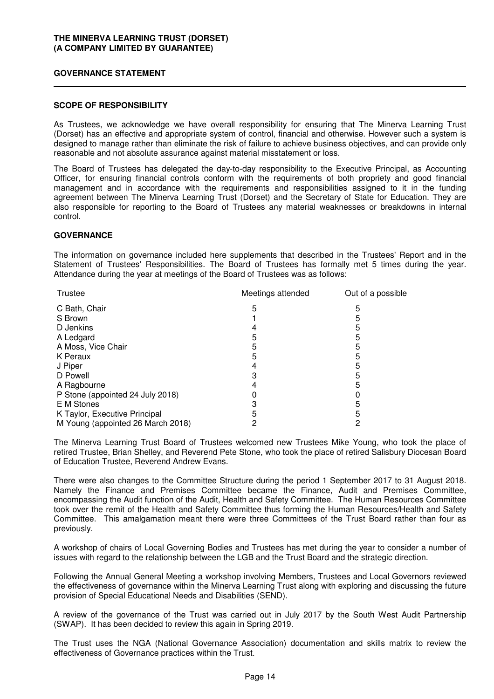#### **GOVERNANCE STATEMENT**

#### **SCOPE OF RESPONSIBILITY**

As Trustees, we acknowledge we have overall responsibility for ensuring that The Minerva Learning Trust (Dorset) has an effective and appropriate system of control, financial and otherwise. However such a system is designed to manage rather than eliminate the risk of failure to achieve business objectives, and can provide only reasonable and not absolute assurance against material misstatement or loss.

The Board of Trustees has delegated the day-to-day responsibility to the Executive Principal, as Accounting Officer, for ensuring financial controls conform with the requirements of both propriety and good financial management and in accordance with the requirements and responsibilities assigned to it in the funding agreement between The Minerva Learning Trust (Dorset) and the Secretary of State for Education. They are also responsible for reporting to the Board of Trustees any material weaknesses or breakdowns in internal control.

### **GOVERNANCE**

The information on governance included here supplements that described in the Trustees' Report and in the Statement of Trustees' Responsibilities. The Board of Trustees has formally met 5 times during the year. Attendance during the year at meetings of the Board of Trustees was as follows:

| Trustee                           | Meetings attended | Out of a possible |
|-----------------------------------|-------------------|-------------------|
| C Bath, Chair                     | 5                 | 5                 |
| S Brown                           |                   | 5                 |
| D Jenkins                         |                   |                   |
| A Ledgard                         | 5                 | 5                 |
| A Moss, Vice Chair                | 5                 | 5                 |
| K Peraux                          | 5                 | 5                 |
| J Piper                           |                   | 5                 |
| D Powell                          | З                 | 5                 |
| A Ragbourne                       |                   | 5                 |
| P Stone (appointed 24 July 2018)  |                   |                   |
| E M Stones                        |                   | 5                 |
| K Taylor, Executive Principal     |                   |                   |
| M Young (appointed 26 March 2018) |                   |                   |

The Minerva Learning Trust Board of Trustees welcomed new Trustees Mike Young, who took the place of retired Trustee, Brian Shelley, and Reverend Pete Stone, who took the place of retired Salisbury Diocesan Board of Education Trustee, Reverend Andrew Evans.

There were also changes to the Committee Structure during the period 1 September 2017 to 31 August 2018. Namely the Finance and Premises Committee became the Finance, Audit and Premises Committee, encompassing the Audit function of the Audit, Health and Safety Committee. The Human Resources Committee took over the remit of the Health and Safety Committee thus forming the Human Resources/Health and Safety Committee. This amalgamation meant there were three Committees of the Trust Board rather than four as previously.

A workshop of chairs of Local Governing Bodies and Trustees has met during the year to consider a number of issues with regard to the relationship between the LGB and the Trust Board and the strategic direction.

Following the Annual General Meeting a workshop involving Members, Trustees and Local Governors reviewed the effectiveness of governance within the Minerva Learning Trust along with exploring and discussing the future provision of Special Educational Needs and Disabilities (SEND).

A review of the governance of the Trust was carried out in July 2017 by the South West Audit Partnership (SWAP). It has been decided to review this again in Spring 2019.

The Trust uses the NGA (National Governance Association) documentation and skills matrix to review the effectiveness of Governance practices within the Trust.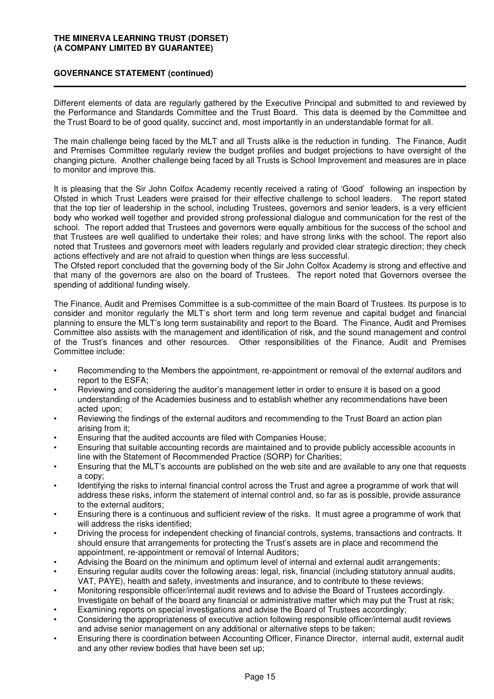# **GOVERNANCE STATEMENT (continued)**

Different elements of data are regularly gathered by the Executive Principal and submitted to and reviewed by the Performance and Standards Committee and the Trust Board. This data is deemed by the Committee and the Trust Board to be of good quality, succinct and, most importantly in an understandable format for all.

The main challenge being faced by the MLT and all Trusts alike is the reduction in funding. The Finance, Audit and Premises Committee regularly review the budget profiles and budget projections to have oversight of the changing picture. Another challenge being faced by all Trusts is School Improvement and measures are in place to monitor and improve this.

It is pleasing that the Sir John Colfox Academy recently received a rating of 'Good' following an inspection by Ofsted in which Trust Leaders were praised for their effective challenge to school leaders. The report stated that the top tier of leadership in the school, including Trustees, governors and senior leaders, is a very efficient body who worked well together and provided strong professional dialogue and communication for the rest of the school. The report added that Trustees and governors were equally ambitious for the success of the school and that Trustees are well qualified to undertake their roles; and have strong links with the school. The report also noted that Trustees and governors meet with leaders regularly and provided clear strategic direction; they check actions effectively and are not afraid to question when things are less successful.

The Ofsted report concluded that the governing body of the Sir John Colfox Academy is strong and effective and that many of the governors are also on the board of Trustees. The report noted that Governors oversee the spending of additional funding wisely.

The Finance, Audit and Premises Committee is a sub-committee of the main Board of Trustees. Its purpose is to consider and monitor regularly the MLT's short term and long term revenue and capital budget and financial planning to ensure the MLT's long term sustainability and report to the Board. The Finance, Audit and Premises Committee also assists with the management and identification of risk, and the sound management and control of the Trust's finances and other resources. Other responsibilities of the Finance, Audit and Premises Committee include:

- Recommending to the Members the appointment, re-appointment or removal of the external auditors and report to the ESFA;
- Reviewing and considering the auditor's management letter in order to ensure it is based on a good understanding of the Academies business and to establish whether any recommendations have been acted upon;
- Reviewing the findings of the external auditors and recommending to the Trust Board an action plan arising from it;
- Ensuring that the audited accounts are filed with Companies House;
- Ensuring that suitable accounting records are maintained and to provide publicly accessible accounts in line with the Statement of Recommended Practice (SORP) for Charities;
- Ensuring that the MLT's accounts are published on the web site and are available to any one that requests a copy;
- Identifying the risks to internal financial control across the Trust and agree a programme of work that will address these risks, inform the statement of internal control and, so far as is possible, provide assurance to the external auditors;
- Ensuring there is a continuous and sufficient review of the risks. It must agree a programme of work that will address the risks identified:
- Driving the process for independent checking of financial controls, systems, transactions and contracts. It should ensure that arrangements for protecting the Trust's assets are in place and recommend the appointment, re-appointment or removal of Internal Auditors;
- Advising the Board on the minimum and optimum level of internal and external audit arrangements;
- Ensuring regular audits cover the following areas: legal, risk, financial (including statutory annual audits, VAT, PAYE), health and safety, investments and insurance, and to contribute to these reviews;
- Monitoring responsible officer/internal audit reviews and to advise the Board of Trustees accordingly. Investigate on behalf of the board any financial or administrative matter which may put the Trust at risk;
- Examining reports on special investigations and advise the Board of Trustees accordingly;
- Considering the appropriateness of executive action following responsible officer/internal audit reviews and advise senior management on any additional or alternative steps to be taken;
- Ensuring there is coordination between Accounting Officer, Finance Director, internal audit, external audit and any other review bodies that have been set up;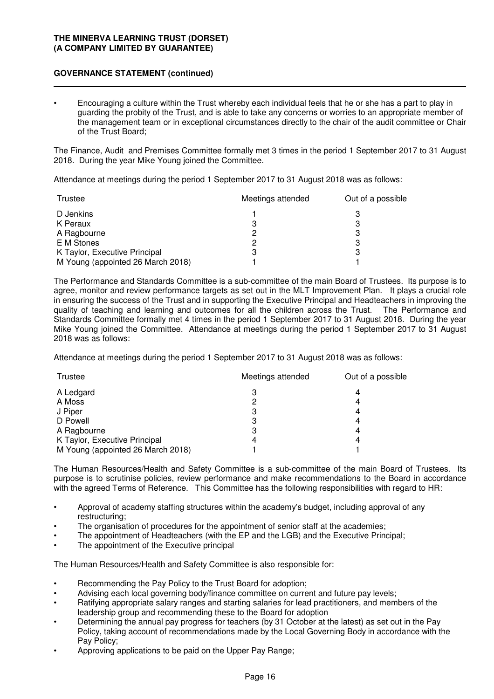# **GOVERNANCE STATEMENT (continued)**

• Encouraging a culture within the Trust whereby each individual feels that he or she has a part to play in guarding the probity of the Trust, and is able to take any concerns or worries to an appropriate member of the management team or in exceptional circumstances directly to the chair of the audit committee or Chair of the Trust Board;

The Finance, Audit and Premises Committee formally met 3 times in the period 1 September 2017 to 31 August 2018. During the year Mike Young joined the Committee.

Attendance at meetings during the period 1 September 2017 to 31 August 2018 was as follows:

| Trustee                           | Meetings attended | Out of a possible |
|-----------------------------------|-------------------|-------------------|
| D Jenkins                         |                   |                   |
| K Peraux                          |                   |                   |
| A Ragbourne                       | 2                 | З                 |
| E M Stones                        | ႒                 | З                 |
| K Taylor, Executive Principal     | З                 | З                 |
| M Young (appointed 26 March 2018) |                   |                   |

The Performance and Standards Committee is a sub-committee of the main Board of Trustees. Its purpose is to agree, monitor and review performance targets as set out in the MLT Improvement Plan. It plays a crucial role in ensuring the success of the Trust and in supporting the Executive Principal and Headteachers in improving the quality of teaching and learning and outcomes for all the children across the Trust. The Performance and Standards Committee formally met 4 times in the period 1 September 2017 to 31 August 2018. During the year Mike Young joined the Committee. Attendance at meetings during the period 1 September 2017 to 31 August 2018 was as follows:

Attendance at meetings during the period 1 September 2017 to 31 August 2018 was as follows:

| Trustee                           | Meetings attended | Out of a possible |
|-----------------------------------|-------------------|-------------------|
| A Ledgard                         | 3                 |                   |
| A Moss                            | 2                 | 4                 |
| J Piper                           | 3                 | 4                 |
| D Powell                          | 3                 | 4                 |
| A Ragbourne                       | 3                 | 4                 |
| K Taylor, Executive Principal     | 4                 | 4                 |
| M Young (appointed 26 March 2018) |                   |                   |

The Human Resources/Health and Safety Committee is a sub-committee of the main Board of Trustees. Its purpose is to scrutinise policies, review performance and make recommendations to the Board in accordance with the agreed Terms of Reference. This Committee has the following responsibilities with regard to HR:

- Approval of academy staffing structures within the academy's budget, including approval of any restructuring;
- The organisation of procedures for the appointment of senior staff at the academies;
- The appointment of Headteachers (with the EP and the LGB) and the Executive Principal;
- The appointment of the Executive principal

The Human Resources/Health and Safety Committee is also responsible for:

- Recommending the Pay Policy to the Trust Board for adoption;
- Advising each local governing body/finance committee on current and future pay levels;
- Ratifying appropriate salary ranges and starting salaries for lead practitioners, and members of the leadership group and recommending these to the Board for adoption
- Determining the annual pay progress for teachers (by 31 October at the latest) as set out in the Pay Policy, taking account of recommendations made by the Local Governing Body in accordance with the Pay Policy;
- Approving applications to be paid on the Upper Pay Range;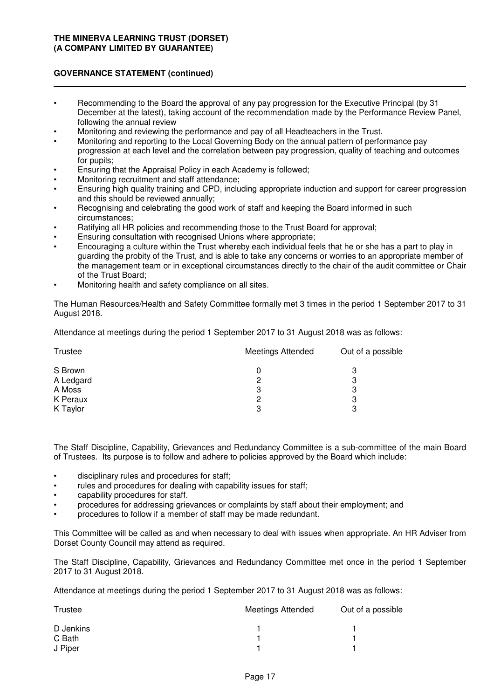# **GOVERNANCE STATEMENT (continued)**

- Recommending to the Board the approval of any pay progression for the Executive Principal (by 31 December at the latest), taking account of the recommendation made by the Performance Review Panel, following the annual review
- Monitoring and reviewing the performance and pay of all Headteachers in the Trust.
- Monitoring and reporting to the Local Governing Body on the annual pattern of performance pay progression at each level and the correlation between pay progression, quality of teaching and outcomes for pupils;
- Ensuring that the Appraisal Policy in each Academy is followed;
- Monitoring recruitment and staff attendance;
- Ensuring high quality training and CPD, including appropriate induction and support for career progression and this should be reviewed annually;
- Recognising and celebrating the good work of staff and keeping the Board informed in such circumstances;
- Ratifying all HR policies and recommending those to the Trust Board for approval;
- Ensuring consultation with recognised Unions where appropriate;
- Encouraging a culture within the Trust whereby each individual feels that he or she has a part to play in guarding the probity of the Trust, and is able to take any concerns or worries to an appropriate member of the management team or in exceptional circumstances directly to the chair of the audit committee or Chair of the Trust Board;
- Monitoring health and safety compliance on all sites.

The Human Resources/Health and Safety Committee formally met 3 times in the period 1 September 2017 to 31 August 2018.

Attendance at meetings during the period 1 September 2017 to 31 August 2018 was as follows:

| <b>Meetings Attended</b> | Out of a possible |
|--------------------------|-------------------|
|                          | 3                 |
| 2                        | З                 |
| З                        | З                 |
| 2                        | 3                 |
| 3                        | 3                 |
|                          |                   |

The Staff Discipline, Capability, Grievances and Redundancy Committee is a sub-committee of the main Board of Trustees. Its purpose is to follow and adhere to policies approved by the Board which include:

- disciplinary rules and procedures for staff;
- rules and procedures for dealing with capability issues for staff;
- capability procedures for staff.
- procedures for addressing grievances or complaints by staff about their employment; and
- procedures to follow if a member of staff may be made redundant.

This Committee will be called as and when necessary to deal with issues when appropriate. An HR Adviser from Dorset County Council may attend as required.

The Staff Discipline, Capability, Grievances and Redundancy Committee met once in the period 1 September 2017 to 31 August 2018.

Attendance at meetings during the period 1 September 2017 to 31 August 2018 was as follows:

| Trustee   | <b>Meetings Attended</b> | Out of a possible |
|-----------|--------------------------|-------------------|
| D Jenkins |                          |                   |
| C Bath    |                          |                   |
| J Piper   |                          |                   |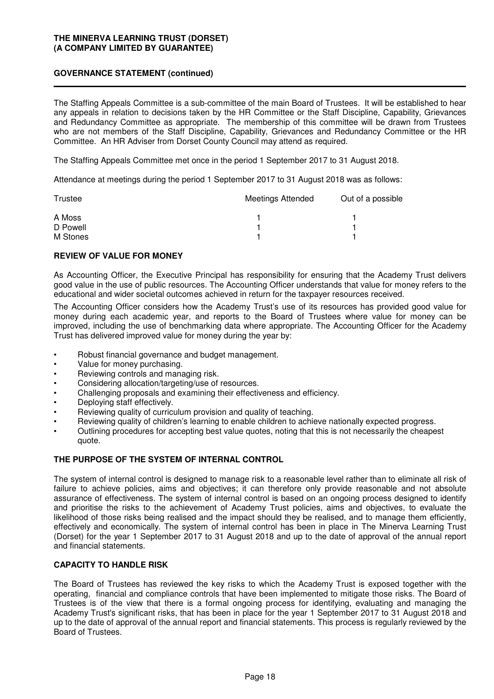# **GOVERNANCE STATEMENT (continued)**

The Staffing Appeals Committee is a sub-committee of the main Board of Trustees. It will be established to hear any appeals in relation to decisions taken by the HR Committee or the Staff Discipline, Capability, Grievances and Redundancy Committee as appropriate. The membership of this committee will be drawn from Trustees who are not members of the Staff Discipline, Capability, Grievances and Redundancy Committee or the HR Committee. An HR Adviser from Dorset County Council may attend as required.

The Staffing Appeals Committee met once in the period 1 September 2017 to 31 August 2018.

Attendance at meetings during the period 1 September 2017 to 31 August 2018 was as follows:

| Trustee  | <b>Meetings Attended</b> | Out of a possible |
|----------|--------------------------|-------------------|
| A Moss   |                          |                   |
| D Powell |                          |                   |
| M Stones |                          |                   |

# **REVIEW OF VALUE FOR MONEY**

As Accounting Officer, the Executive Principal has responsibility for ensuring that the Academy Trust delivers good value in the use of public resources. The Accounting Officer understands that value for money refers to the educational and wider societal outcomes achieved in return for the taxpayer resources received.

The Accounting Officer considers how the Academy Trust's use of its resources has provided good value for money during each academic year, and reports to the Board of Trustees where value for money can be improved, including the use of benchmarking data where appropriate. The Accounting Officer for the Academy Trust has delivered improved value for money during the year by:

- Robust financial governance and budget management.
- Value for money purchasing.
- Reviewing controls and managing risk.
- Considering allocation/targeting/use of resources.
- Challenging proposals and examining their effectiveness and efficiency.
- Deploying staff effectively.
- Reviewing quality of curriculum provision and quality of teaching.
- Reviewing quality of children's learning to enable children to achieve nationally expected progress.
- Outlining procedures for accepting best value quotes, noting that this is not necessarily the cheapest quote.

# **THE PURPOSE OF THE SYSTEM OF INTERNAL CONTROL**

The system of internal control is designed to manage risk to a reasonable level rather than to eliminate all risk of failure to achieve policies, aims and objectives; it can therefore only provide reasonable and not absolute assurance of effectiveness. The system of internal control is based on an ongoing process designed to identify and prioritise the risks to the achievement of Academy Trust policies, aims and objectives, to evaluate the likelihood of those risks being realised and the impact should they be realised, and to manage them efficiently, effectively and economically. The system of internal control has been in place in The Minerva Learning Trust (Dorset) for the year 1 September 2017 to 31 August 2018 and up to the date of approval of the annual report and financial statements.

# **CAPACITY TO HANDLE RISK**

The Board of Trustees has reviewed the key risks to which the Academy Trust is exposed together with the operating, financial and compliance controls that have been implemented to mitigate those risks. The Board of Trustees is of the view that there is a formal ongoing process for identifying, evaluating and managing the Academy Trust's significant risks, that has been in place for the year 1 September 2017 to 31 August 2018 and up to the date of approval of the annual report and financial statements. This process is regularly reviewed by the Board of Trustees.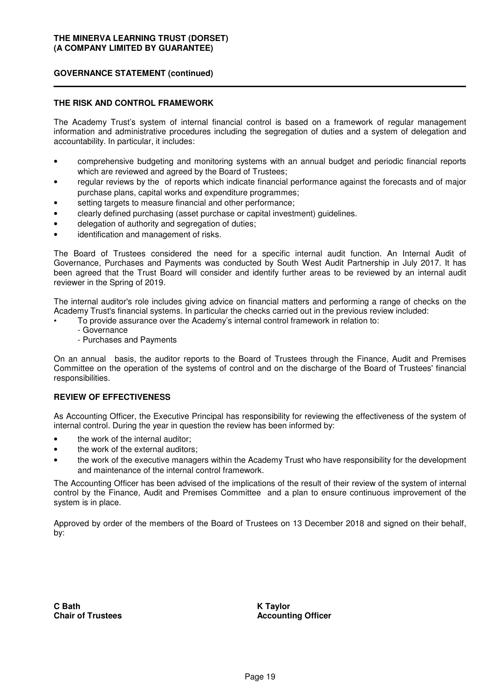# **GOVERNANCE STATEMENT (continued)**

#### **THE RISK AND CONTROL FRAMEWORK**

The Academy Trust's system of internal financial control is based on a framework of regular management information and administrative procedures including the segregation of duties and a system of delegation and accountability. In particular, it includes:

- comprehensive budgeting and monitoring systems with an annual budget and periodic financial reports which are reviewed and agreed by the Board of Trustees;
- regular reviews by the of reports which indicate financial performance against the forecasts and of major purchase plans, capital works and expenditure programmes;
- setting targets to measure financial and other performance;
- clearly defined purchasing (asset purchase or capital investment) guidelines.
- delegation of authority and segregation of duties;
- identification and management of risks.

The Board of Trustees considered the need for a specific internal audit function. An Internal Audit of Governance, Purchases and Payments was conducted by South West Audit Partnership in July 2017. It has been agreed that the Trust Board will consider and identify further areas to be reviewed by an internal audit reviewer in the Spring of 2019.

The internal auditor's role includes giving advice on financial matters and performing a range of checks on the Academy Trust's financial systems. In particular the checks carried out in the previous review included:

- To provide assurance over the Academy's internal control framework in relation to:
- Governance
	- Purchases and Payments

On an annual basis, the auditor reports to the Board of Trustees through the Finance, Audit and Premises Committee on the operation of the systems of control and on the discharge of the Board of Trustees' financial responsibilities.

### **REVIEW OF EFFECTIVENESS**

As Accounting Officer, the Executive Principal has responsibility for reviewing the effectiveness of the system of internal control. During the year in question the review has been informed by:

- the work of the internal auditor;
- the work of the external auditors;
- the work of the executive managers within the Academy Trust who have responsibility for the development and maintenance of the internal control framework.

The Accounting Officer has been advised of the implications of the result of their review of the system of internal control by the Finance, Audit and Premises Committee and a plan to ensure continuous improvement of the system is in place.

Approved by order of the members of the Board of Trustees on 13 December 2018 and signed on their behalf, by:

**C Bath Chair of Trustees** **K Taylor Accounting Officer**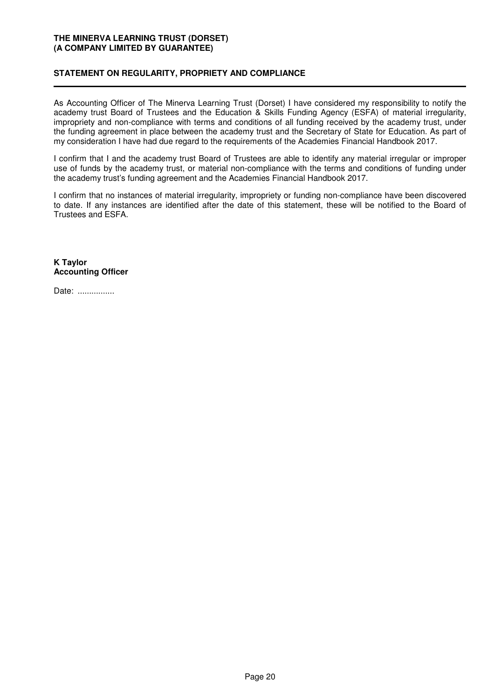# **STATEMENT ON REGULARITY, PROPRIETY AND COMPLIANCE**

As Accounting Officer of The Minerva Learning Trust (Dorset) I have considered my responsibility to notify the academy trust Board of Trustees and the Education & Skills Funding Agency (ESFA) of material irregularity, impropriety and non-compliance with terms and conditions of all funding received by the academy trust, under the funding agreement in place between the academy trust and the Secretary of State for Education. As part of my consideration I have had due regard to the requirements of the Academies Financial Handbook 2017.

I confirm that I and the academy trust Board of Trustees are able to identify any material irregular or improper use of funds by the academy trust, or material non-compliance with the terms and conditions of funding under the academy trust's funding agreement and the Academies Financial Handbook 2017.

I confirm that no instances of material irregularity, impropriety or funding non-compliance have been discovered to date. If any instances are identified after the date of this statement, these will be notified to the Board of Trustees and ESFA.

**K Taylor Accounting Officer**

Date: ................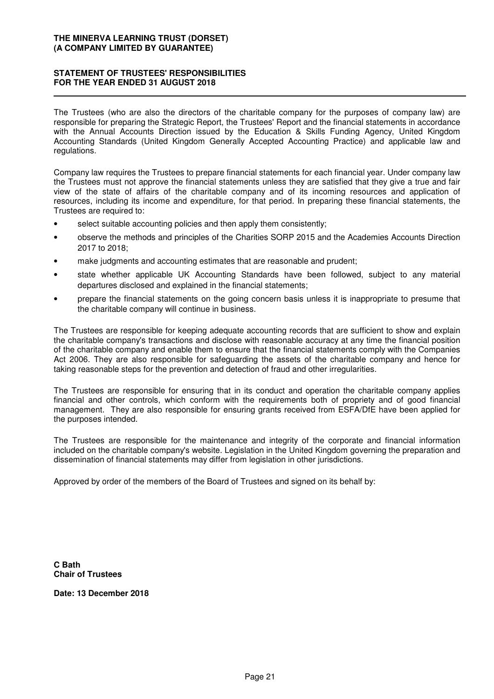# **STATEMENT OF TRUSTEES' RESPONSIBILITIES FOR THE YEAR ENDED 31 AUGUST 2018**

The Trustees (who are also the directors of the charitable company for the purposes of company law) are responsible for preparing the Strategic Report, the Trustees' Report and the financial statements in accordance with the Annual Accounts Direction issued by the Education & Skills Funding Agency, United Kingdom Accounting Standards (United Kingdom Generally Accepted Accounting Practice) and applicable law and regulations.

Company law requires the Trustees to prepare financial statements for each financial year. Under company law the Trustees must not approve the financial statements unless they are satisfied that they give a true and fair view of the state of affairs of the charitable company and of its incoming resources and application of resources, including its income and expenditure, for that period. In preparing these financial statements, the Trustees are required to:

- select suitable accounting policies and then apply them consistently;
- observe the methods and principles of the Charities SORP 2015 and the Academies Accounts Direction 2017 to 2018;
- make judgments and accounting estimates that are reasonable and prudent;
- state whether applicable UK Accounting Standards have been followed, subject to any material departures disclosed and explained in the financial statements;
- prepare the financial statements on the going concern basis unless it is inappropriate to presume that the charitable company will continue in business.

The Trustees are responsible for keeping adequate accounting records that are sufficient to show and explain the charitable company's transactions and disclose with reasonable accuracy at any time the financial position of the charitable company and enable them to ensure that the financial statements comply with the Companies Act 2006. They are also responsible for safeguarding the assets of the charitable company and hence for taking reasonable steps for the prevention and detection of fraud and other irregularities.

The Trustees are responsible for ensuring that in its conduct and operation the charitable company applies financial and other controls, which conform with the requirements both of propriety and of good financial management. They are also responsible for ensuring grants received from ESFA/DfE have been applied for the purposes intended.

The Trustees are responsible for the maintenance and integrity of the corporate and financial information included on the charitable company's website. Legislation in the United Kingdom governing the preparation and dissemination of financial statements may differ from legislation in other jurisdictions.

Approved by order of the members of the Board of Trustees and signed on its behalf by:

**C Bath Chair of Trustees**

**Date: 13 December 2018**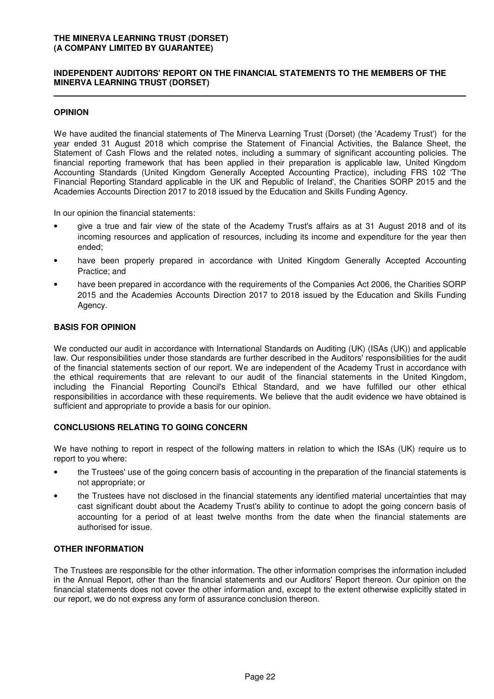# **INDEPENDENT AUDITORS' REPORT ON THE FINANCIAL STATEMENTS TO THE MEMBERS OF THE MINERVA LEARNING TRUST (DORSET)**

# **OPINION**

We have audited the financial statements of The Minerva Learning Trust (Dorset) (the 'Academy Trust') for the year ended 31 August 2018 which comprise the Statement of Financial Activities, the Balance Sheet, the Statement of Cash Flows and the related notes, including a summary of significant accounting policies. The financial reporting framework that has been applied in their preparation is applicable law, United Kingdom Accounting Standards (United Kingdom Generally Accepted Accounting Practice), including FRS 102 'The Financial Reporting Standard applicable in the UK and Republic of Ireland', the Charities SORP 2015 and the Academies Accounts Direction 2017 to 2018 issued by the Education and Skills Funding Agency.

In our opinion the financial statements:

- give a true and fair view of the state of the Academy Trust's affairs as at 31 August 2018 and of its incoming resources and application of resources, including its income and expenditure for the year then ended;
- have been properly prepared in accordance with United Kingdom Generally Accepted Accounting Practice; and
- have been prepared in accordance with the requirements of the Companies Act 2006, the Charities SORP 2015 and the Academies Accounts Direction 2017 to 2018 issued by the Education and Skills Funding Agency.

# **BASIS FOR OPINION**

We conducted our audit in accordance with International Standards on Auditing (UK) (ISAs (UK)) and applicable law. Our responsibilities under those standards are further described in the Auditors' responsibilities for the audit of the financial statements section of our report. We are independent of the Academy Trust in accordance with the ethical requirements that are relevant to our audit of the financial statements in the United Kingdom, including the Financial Reporting Council's Ethical Standard, and we have fulfilled our other ethical responsibilities in accordance with these requirements. We believe that the audit evidence we have obtained is sufficient and appropriate to provide a basis for our opinion.

# **CONCLUSIONS RELATING TO GOING CONCERN**

We have nothing to report in respect of the following matters in relation to which the ISAs (UK) require us to report to you where:

- the Trustees' use of the going concern basis of accounting in the preparation of the financial statements is not appropriate; or
- the Trustees have not disclosed in the financial statements any identified material uncertainties that may cast significant doubt about the Academy Trust's ability to continue to adopt the going concern basis of accounting for a period of at least twelve months from the date when the financial statements are authorised for issue.

# **OTHER INFORMATION**

The Trustees are responsible for the other information. The other information comprises the information included in the Annual Report, other than the financial statements and our Auditors' Report thereon. Our opinion on the financial statements does not cover the other information and, except to the extent otherwise explicitly stated in our report, we do not express any form of assurance conclusion thereon.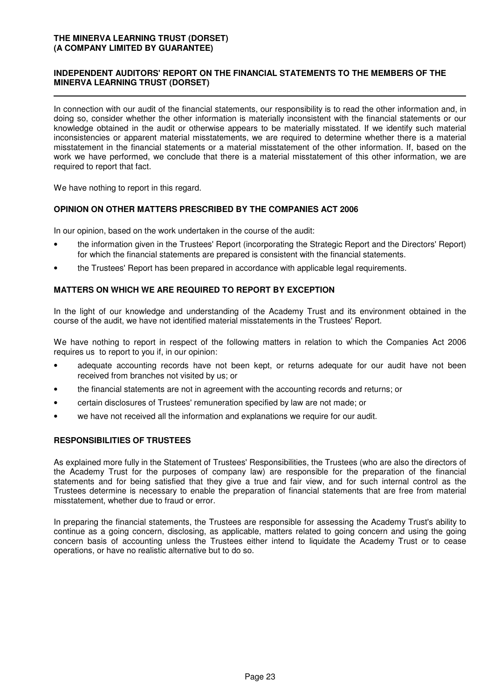# **INDEPENDENT AUDITORS' REPORT ON THE FINANCIAL STATEMENTS TO THE MEMBERS OF THE MINERVA LEARNING TRUST (DORSET)**

In connection with our audit of the financial statements, our responsibility is to read the other information and, in doing so, consider whether the other information is materially inconsistent with the financial statements or our knowledge obtained in the audit or otherwise appears to be materially misstated. If we identify such material inconsistencies or apparent material misstatements, we are required to determine whether there is a material misstatement in the financial statements or a material misstatement of the other information. If, based on the work we have performed, we conclude that there is a material misstatement of this other information, we are required to report that fact.

We have nothing to report in this regard.

### **OPINION ON OTHER MATTERS PRESCRIBED BY THE COMPANIES ACT 2006**

In our opinion, based on the work undertaken in the course of the audit:

- the information given in the Trustees' Report (incorporating the Strategic Report and the Directors' Report) for which the financial statements are prepared is consistent with the financial statements.
- the Trustees' Report has been prepared in accordance with applicable legal requirements.

### **MATTERS ON WHICH WE ARE REQUIRED TO REPORT BY EXCEPTION**

In the light of our knowledge and understanding of the Academy Trust and its environment obtained in the course of the audit, we have not identified material misstatements in the Trustees' Report.

We have nothing to report in respect of the following matters in relation to which the Companies Act 2006 requires us to report to you if, in our opinion:

- adequate accounting records have not been kept, or returns adequate for our audit have not been received from branches not visited by us; or
- the financial statements are not in agreement with the accounting records and returns; or
- certain disclosures of Trustees' remuneration specified by law are not made; or
- we have not received all the information and explanations we require for our audit.

# **RESPONSIBILITIES OF TRUSTEES**

As explained more fully in the Statement of Trustees' Responsibilities, the Trustees (who are also the directors of the Academy Trust for the purposes of company law) are responsible for the preparation of the financial statements and for being satisfied that they give a true and fair view, and for such internal control as the Trustees determine is necessary to enable the preparation of financial statements that are free from material misstatement, whether due to fraud or error.

In preparing the financial statements, the Trustees are responsible for assessing the Academy Trust's ability to continue as a going concern, disclosing, as applicable, matters related to going concern and using the going concern basis of accounting unless the Trustees either intend to liquidate the Academy Trust or to cease operations, or have no realistic alternative but to do so.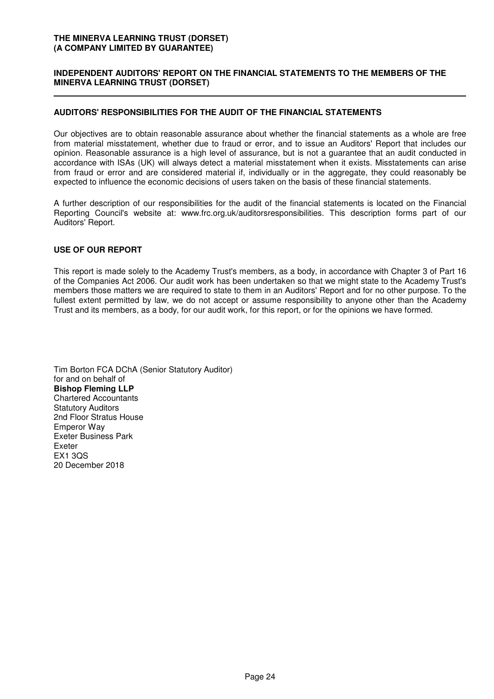# **INDEPENDENT AUDITORS' REPORT ON THE FINANCIAL STATEMENTS TO THE MEMBERS OF THE MINERVA LEARNING TRUST (DORSET)**

# **AUDITORS' RESPONSIBILITIES FOR THE AUDIT OF THE FINANCIAL STATEMENTS**

Our objectives are to obtain reasonable assurance about whether the financial statements as a whole are free from material misstatement, whether due to fraud or error, and to issue an Auditors' Report that includes our opinion. Reasonable assurance is a high level of assurance, but is not a guarantee that an audit conducted in accordance with ISAs (UK) will always detect a material misstatement when it exists. Misstatements can arise from fraud or error and are considered material if, individually or in the aggregate, they could reasonably be expected to influence the economic decisions of users taken on the basis of these financial statements.

A further description of our responsibilities for the audit of the financial statements is located on the Financial Reporting Council's website at: www.frc.org.uk/auditorsresponsibilities. This description forms part of our Auditors' Report.

### **USE OF OUR REPORT**

This report is made solely to the Academy Trust's members, as a body, in accordance with Chapter 3 of Part 16 of the Companies Act 2006. Our audit work has been undertaken so that we might state to the Academy Trust's members those matters we are required to state to them in an Auditors' Report and for no other purpose. To the fullest extent permitted by law, we do not accept or assume responsibility to anyone other than the Academy Trust and its members, as a body, for our audit work, for this report, or for the opinions we have formed.

Tim Borton FCA DChA (Senior Statutory Auditor) for and on behalf of **Bishop Fleming LLP** Chartered Accountants Statutory Auditors 2nd Floor Stratus House Emperor Way Exeter Business Park Exeter EX1 3QS 20 December 2018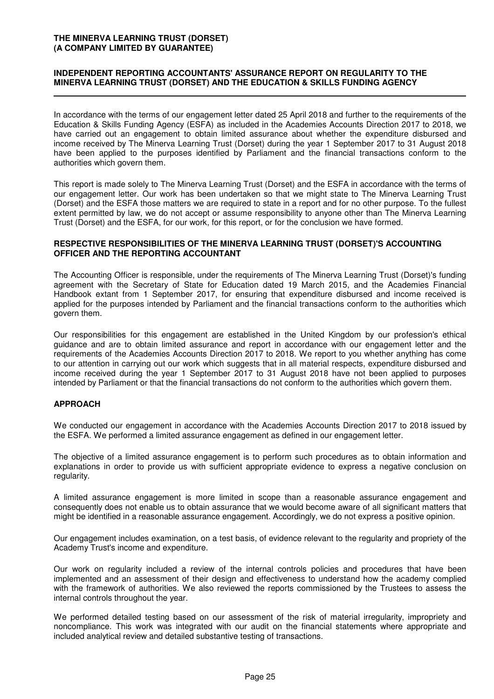### **INDEPENDENT REPORTING ACCOUNTANTS' ASSURANCE REPORT ON REGULARITY TO THE MINERVA LEARNING TRUST (DORSET) AND THE EDUCATION & SKILLS FUNDING AGENCY**

In accordance with the terms of our engagement letter dated 25 April 2018 and further to the requirements of the Education & Skills Funding Agency (ESFA) as included in the Academies Accounts Direction 2017 to 2018, we have carried out an engagement to obtain limited assurance about whether the expenditure disbursed and income received by The Minerva Learning Trust (Dorset) during the year 1 September 2017 to 31 August 2018 have been applied to the purposes identified by Parliament and the financial transactions conform to the authorities which govern them.

This report is made solely to The Minerva Learning Trust (Dorset) and the ESFA in accordance with the terms of our engagement letter. Our work has been undertaken so that we might state to The Minerva Learning Trust (Dorset) and the ESFA those matters we are required to state in a report and for no other purpose. To the fullest extent permitted by law, we do not accept or assume responsibility to anyone other than The Minerva Learning Trust (Dorset) and the ESFA, for our work, for this report, or for the conclusion we have formed.

#### **RESPECTIVE RESPONSIBILITIES OF THE MINERVA LEARNING TRUST (DORSET)'S ACCOUNTING OFFICER AND THE REPORTING ACCOUNTANT**

The Accounting Officer is responsible, under the requirements of The Minerva Learning Trust (Dorset)'s funding agreement with the Secretary of State for Education dated 19 March 2015, and the Academies Financial Handbook extant from 1 September 2017, for ensuring that expenditure disbursed and income received is applied for the purposes intended by Parliament and the financial transactions conform to the authorities which govern them.

Our responsibilities for this engagement are established in the United Kingdom by our profession's ethical guidance and are to obtain limited assurance and report in accordance with our engagement letter and the requirements of the Academies Accounts Direction 2017 to 2018. We report to you whether anything has come to our attention in carrying out our work which suggests that in all material respects, expenditure disbursed and income received during the year 1 September 2017 to 31 August 2018 have not been applied to purposes intended by Parliament or that the financial transactions do not conform to the authorities which govern them.

# **APPROACH**

We conducted our engagement in accordance with the Academies Accounts Direction 2017 to 2018 issued by the ESFA. We performed a limited assurance engagement as defined in our engagement letter.

The objective of a limited assurance engagement is to perform such procedures as to obtain information and explanations in order to provide us with sufficient appropriate evidence to express a negative conclusion on regularity.

A limited assurance engagement is more limited in scope than a reasonable assurance engagement and consequently does not enable us to obtain assurance that we would become aware of all significant matters that might be identified in a reasonable assurance engagement. Accordingly, we do not express a positive opinion.

Our engagement includes examination, on a test basis, of evidence relevant to the regularity and propriety of the Academy Trust's income and expenditure.

Our work on regularity included a review of the internal controls policies and procedures that have been implemented and an assessment of their design and effectiveness to understand how the academy complied with the framework of authorities. We also reviewed the reports commissioned by the Trustees to assess the internal controls throughout the year.

We performed detailed testing based on our assessment of the risk of material irregularity, impropriety and noncompliance. This work was integrated with our audit on the financial statements where appropriate and included analytical review and detailed substantive testing of transactions.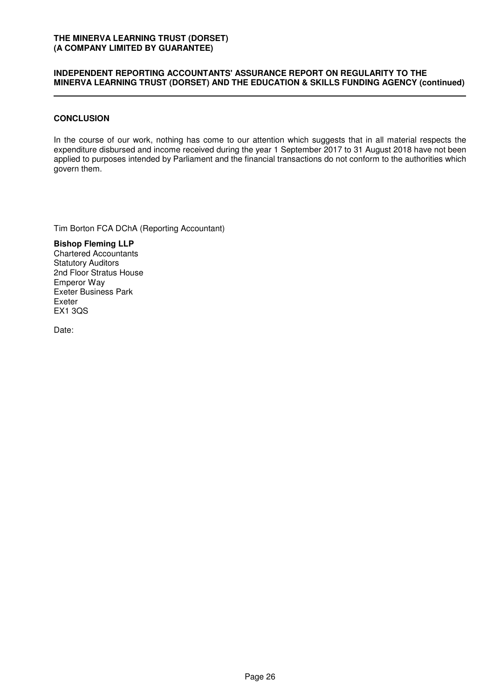#### **INDEPENDENT REPORTING ACCOUNTANTS' ASSURANCE REPORT ON REGULARITY TO THE MINERVA LEARNING TRUST (DORSET) AND THE EDUCATION & SKILLS FUNDING AGENCY (continued)**

### **CONCLUSION**

In the course of our work, nothing has come to our attention which suggests that in all material respects the expenditure disbursed and income received during the year 1 September 2017 to 31 August 2018 have not been applied to purposes intended by Parliament and the financial transactions do not conform to the authorities which govern them.

Tim Borton FCA DChA (Reporting Accountant)

**Bishop Fleming LLP** Chartered Accountants Statutory Auditors 2nd Floor Stratus House Emperor Way Exeter Business Park Exeter EX1 3QS

Date: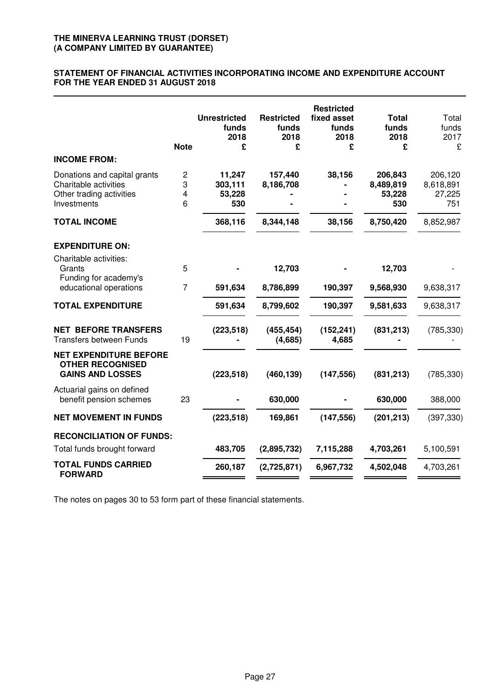#### **STATEMENT OF FINANCIAL ACTIVITIES INCORPORATING INCOME AND EXPENDITURE ACCOUNT FOR THE YEAR ENDED 31 AUGUST 2018**

| <b>INCOME FROM:</b>                                                                              | <b>Note</b>      | <b>Unrestricted</b><br>funds<br>2018<br>£ | <b>Restricted</b><br>funds<br>2018<br>£ | <b>Restricted</b><br>fixed asset<br>funds<br>2018<br>£ | <b>Total</b><br>funds<br>2018<br>£    | Total<br>funds<br>2017<br>£           |
|--------------------------------------------------------------------------------------------------|------------------|-------------------------------------------|-----------------------------------------|--------------------------------------------------------|---------------------------------------|---------------------------------------|
| Donations and capital grants<br>Charitable activities<br>Other trading activities<br>Investments | 2<br>3<br>4<br>6 | 11,247<br>303,111<br>53,228<br>530        | 157,440<br>8,186,708                    | 38,156                                                 | 206,843<br>8,489,819<br>53,228<br>530 | 206,120<br>8,618,891<br>27,225<br>751 |
| <b>TOTAL INCOME</b>                                                                              |                  | 368,116                                   | 8,344,148                               | 38,156                                                 | 8,750,420                             | 8,852,987                             |
| <b>EXPENDITURE ON:</b><br>Charitable activities:<br>Grants<br>Funding for academy's              | 5                |                                           | 12,703                                  |                                                        | 12,703                                |                                       |
| educational operations<br><b>TOTAL EXPENDITURE</b>                                               | 7                | 591,634<br>591,634                        | 8,786,899<br>8,799,602                  | 190,397<br>190,397                                     | 9,568,930<br>9,581,633                | 9,638,317<br>9,638,317                |
| <b>NET BEFORE TRANSFERS</b><br><b>Transfers between Funds</b>                                    | 19               | (223, 518)                                | (455, 454)<br>(4,685)                   | (152, 241)<br>4,685                                    | (831, 213)                            | (785, 330)                            |
| <b>NET EXPENDITURE BEFORE</b><br><b>OTHER RECOGNISED</b><br><b>GAINS AND LOSSES</b>              |                  | (223, 518)                                | (460, 139)                              | (147, 556)                                             | (831, 213)                            | (785, 330)                            |
| Actuarial gains on defined<br>benefit pension schemes                                            | 23               |                                           | 630,000                                 |                                                        | 630,000                               | 388,000                               |
| <b>NET MOVEMENT IN FUNDS</b>                                                                     |                  | (223, 518)                                | 169,861                                 | (147, 556)                                             | (201, 213)                            | (397, 330)                            |
| <b>RECONCILIATION OF FUNDS:</b>                                                                  |                  |                                           |                                         |                                                        |                                       |                                       |
| Total funds brought forward                                                                      |                  | 483,705                                   | (2,895,732)                             | 7,115,288                                              | 4,703,261                             | 5,100,591                             |
| <b>TOTAL FUNDS CARRIED</b><br><b>FORWARD</b>                                                     |                  | 260,187                                   | (2,725,871)                             | 6,967,732                                              | 4,502,048                             | 4,703,261                             |

The notes on pages 30 to 53 form part of these financial statements.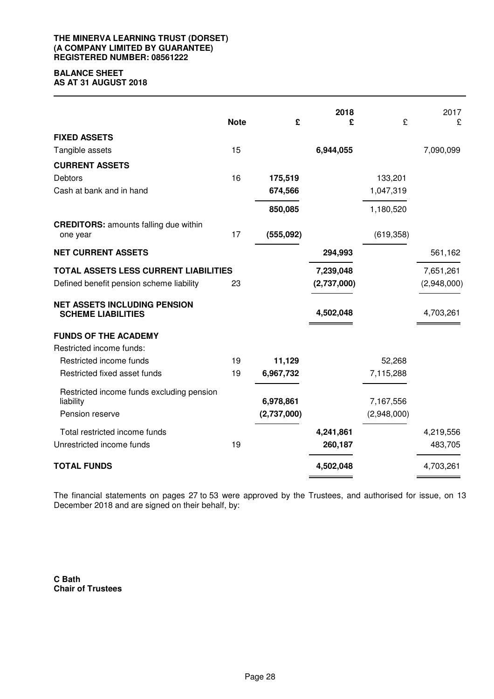#### **THE MINERVA LEARNING TRUST (DORSET) (A COMPANY LIMITED BY GUARANTEE) REGISTERED NUMBER: 08561222**

# **BALANCE SHEET**

**AS AT 31 AUGUST 2018**

|                                                                  | <b>Note</b> | £           | 2018<br>£   | £           | 2017<br>£   |
|------------------------------------------------------------------|-------------|-------------|-------------|-------------|-------------|
| <b>FIXED ASSETS</b>                                              |             |             |             |             |             |
| Tangible assets                                                  | 15          |             | 6,944,055   |             | 7,090,099   |
| <b>CURRENT ASSETS</b>                                            |             |             |             |             |             |
| Debtors                                                          | 16          | 175,519     |             | 133,201     |             |
| Cash at bank and in hand                                         |             | 674,566     |             | 1,047,319   |             |
|                                                                  |             | 850,085     |             | 1,180,520   |             |
| <b>CREDITORS: amounts falling due within</b>                     |             |             |             |             |             |
| one year                                                         | 17          | (555,092)   |             | (619, 358)  |             |
| <b>NET CURRENT ASSETS</b>                                        |             |             | 294,993     |             | 561,162     |
| TOTAL ASSETS LESS CURRENT LIABILITIES                            |             |             | 7,239,048   |             | 7,651,261   |
| Defined benefit pension scheme liability                         | 23          |             | (2,737,000) |             | (2,948,000) |
| <b>NET ASSETS INCLUDING PENSION</b><br><b>SCHEME LIABILITIES</b> |             |             | 4,502,048   |             | 4,703,261   |
| <b>FUNDS OF THE ACADEMY</b>                                      |             |             |             |             |             |
| Restricted income funds:                                         |             |             |             |             |             |
| Restricted income funds                                          | 19          | 11,129      |             | 52,268      |             |
| Restricted fixed asset funds                                     | 19          | 6,967,732   |             | 7,115,288   |             |
| Restricted income funds excluding pension<br>liability           |             | 6,978,861   |             | 7,167,556   |             |
| Pension reserve                                                  |             | (2,737,000) |             | (2,948,000) |             |
| Total restricted income funds                                    |             |             | 4,241,861   |             | 4,219,556   |
| Unrestricted income funds                                        | 19          |             | 260,187     |             | 483,705     |
| <b>TOTAL FUNDS</b>                                               |             |             | 4,502,048   |             | 4,703,261   |

The financial statements on pages 27 to 53 were approved by the Trustees, and authorised for issue, on 13 December 2018 and are signed on their behalf, by:

**C Bath Chair of Trustees**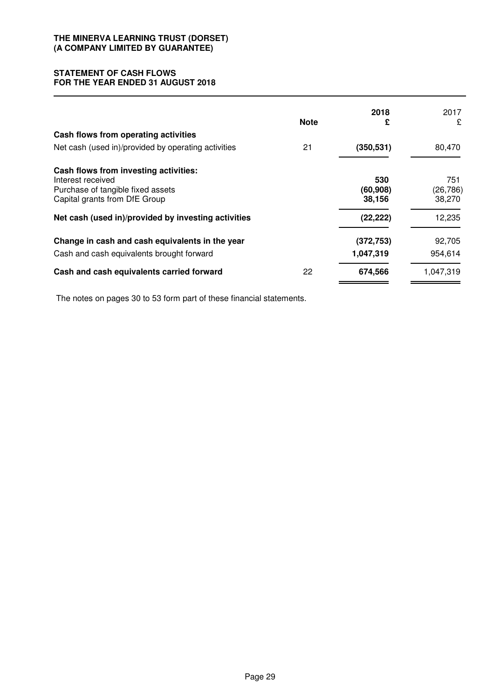# **STATEMENT OF CASH FLOWS FOR THE YEAR ENDED 31 AUGUST 2018**

|                                                                                                                                  | <b>Note</b> | 2018<br>£                  | 2017<br>£                  |
|----------------------------------------------------------------------------------------------------------------------------------|-------------|----------------------------|----------------------------|
| Cash flows from operating activities                                                                                             |             |                            |                            |
| Net cash (used in)/provided by operating activities                                                                              | 21          | (350, 531)                 | 80,470                     |
| Cash flows from investing activities:<br>Interest received<br>Purchase of tangible fixed assets<br>Capital grants from DfE Group |             | 530<br>(60, 908)<br>38,156 | 751<br>(26, 786)<br>38,270 |
| Net cash (used in)/provided by investing activities                                                                              |             | (22, 222)                  | 12,235                     |
| Change in cash and cash equivalents in the year                                                                                  |             | (372, 753)                 | 92,705                     |
| Cash and cash equivalents brought forward                                                                                        |             | 1,047,319                  | 954,614                    |
| Cash and cash equivalents carried forward                                                                                        | 22          | 674,566                    | 1,047,319                  |

The notes on pages 30 to 53 form part of these financial statements.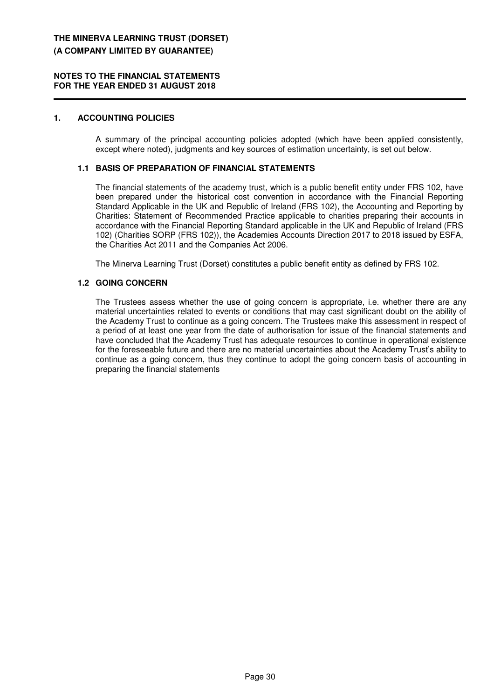#### **NOTES TO THE FINANCIAL STATEMENTS FOR THE YEAR ENDED 31 AUGUST 2018**

### **1. ACCOUNTING POLICIES**

A summary of the principal accounting policies adopted (which have been applied consistently, except where noted), judgments and key sources of estimation uncertainty, is set out below.

# **1.1 BASIS OF PREPARATION OF FINANCIAL STATEMENTS**

The financial statements of the academy trust, which is a public benefit entity under FRS 102, have been prepared under the historical cost convention in accordance with the Financial Reporting Standard Applicable in the UK and Republic of Ireland (FRS 102), the Accounting and Reporting by Charities: Statement of Recommended Practice applicable to charities preparing their accounts in accordance with the Financial Reporting Standard applicable in the UK and Republic of Ireland (FRS 102) (Charities SORP (FRS 102)), the Academies Accounts Direction 2017 to 2018 issued by ESFA, the Charities Act 2011 and the Companies Act 2006.

The Minerva Learning Trust (Dorset) constitutes a public benefit entity as defined by FRS 102.

### **1.2 GOING CONCERN**

The Trustees assess whether the use of going concern is appropriate, i.e. whether there are any material uncertainties related to events or conditions that may cast significant doubt on the ability of the Academy Trust to continue as a going concern. The Trustees make this assessment in respect of a period of at least one year from the date of authorisation for issue of the financial statements and have concluded that the Academy Trust has adequate resources to continue in operational existence for the foreseeable future and there are no material uncertainties about the Academy Trust's ability to continue as a going concern, thus they continue to adopt the going concern basis of accounting in preparing the financial statements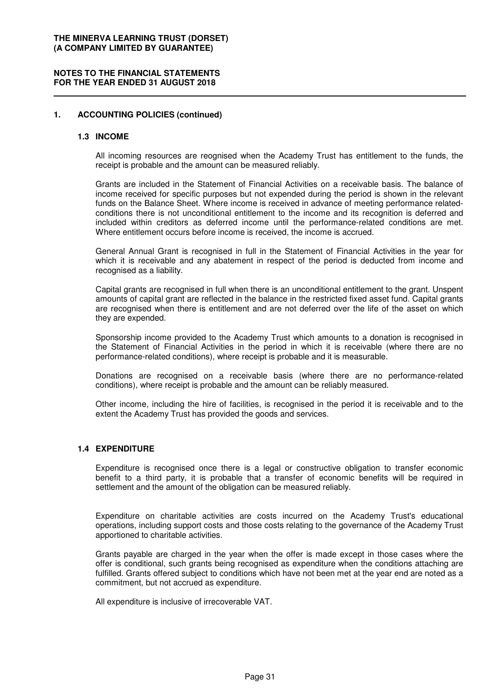#### **NOTES TO THE FINANCIAL STATEMENTS FOR THE YEAR ENDED 31 AUGUST 2018**

### **1. ACCOUNTING POLICIES (continued)**

#### **1.3 INCOME**

All incoming resources are reognised when the Academy Trust has entitlement to the funds, the receipt is probable and the amount can be measured reliably.

Grants are included in the Statement of Financial Activities on a receivable basis. The balance of income received for specific purposes but not expended during the period is shown in the relevant funds on the Balance Sheet. Where income is received in advance of meeting performance relatedconditions there is not unconditional entitlement to the income and its recognition is deferred and included within creditors as deferred income until the performance-related conditions are met. Where entitlement occurs before income is received, the income is accrued.

General Annual Grant is recognised in full in the Statement of Financial Activities in the year for which it is receivable and any abatement in respect of the period is deducted from income and recognised as a liability.

Capital grants are recognised in full when there is an unconditional entitlement to the grant. Unspent amounts of capital grant are reflected in the balance in the restricted fixed asset fund. Capital grants are recognised when there is entitlement and are not deferred over the life of the asset on which they are expended.

Sponsorship income provided to the Academy Trust which amounts to a donation is recognised in the Statement of Financial Activities in the period in which it is receivable (where there are no performance-related conditions), where receipt is probable and it is measurable.

Donations are recognised on a receivable basis (where there are no performance-related conditions), where receipt is probable and the amount can be reliably measured.

Other income, including the hire of facilities, is recognised in the period it is receivable and to the extent the Academy Trust has provided the goods and services.

#### **1.4 EXPENDITURE**

Expenditure is recognised once there is a legal or constructive obligation to transfer economic benefit to a third party, it is probable that a transfer of economic benefits will be required in settlement and the amount of the obligation can be measured reliably.

Expenditure on charitable activities are costs incurred on the Academy Trust's educational operations, including support costs and those costs relating to the governance of the Academy Trust apportioned to charitable activities.

Grants payable are charged in the year when the offer is made except in those cases where the offer is conditional, such grants being recognised as expenditure when the conditions attaching are fulfilled. Grants offered subject to conditions which have not been met at the year end are noted as a commitment, but not accrued as expenditure.

All expenditure is inclusive of irrecoverable VAT.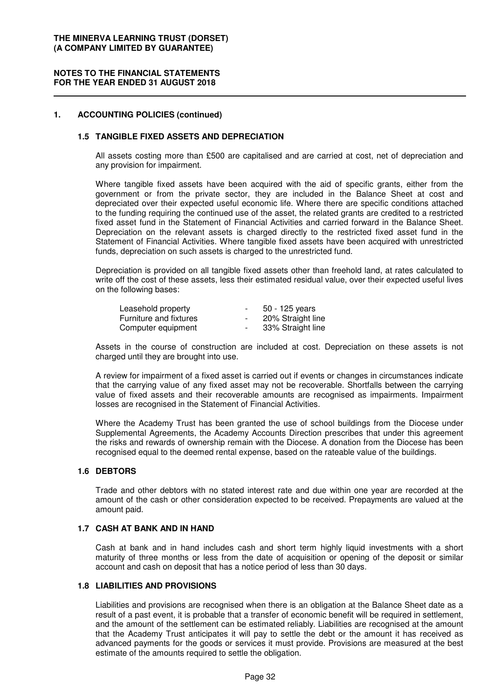#### **NOTES TO THE FINANCIAL STATEMENTS FOR THE YEAR ENDED 31 AUGUST 2018**

### **1. ACCOUNTING POLICIES (continued)**

### **1.5 TANGIBLE FIXED ASSETS AND DEPRECIATION**

All assets costing more than £500 are capitalised and are carried at cost, net of depreciation and any provision for impairment.

Where tangible fixed assets have been acquired with the aid of specific grants, either from the government or from the private sector, they are included in the Balance Sheet at cost and depreciated over their expected useful economic life. Where there are specific conditions attached to the funding requiring the continued use of the asset, the related grants are credited to a restricted fixed asset fund in the Statement of Financial Activities and carried forward in the Balance Sheet. Depreciation on the relevant assets is charged directly to the restricted fixed asset fund in the Statement of Financial Activities. Where tangible fixed assets have been acquired with unrestricted funds, depreciation on such assets is charged to the unrestricted fund.

Depreciation is provided on all tangible fixed assets other than freehold land, at rates calculated to write off the cost of these assets, less their estimated residual value, over their expected useful lives on the following bases:

| Leasehold property     | $\sim$ | 50 - 125 years    |
|------------------------|--------|-------------------|
| Furniture and fixtures | $\sim$ | 20% Straight line |
| Computer equipment     | $\sim$ | 33% Straight line |

Assets in the course of construction are included at cost. Depreciation on these assets is not charged until they are brought into use.

A review for impairment of a fixed asset is carried out if events or changes in circumstances indicate that the carrying value of any fixed asset may not be recoverable. Shortfalls between the carrying value of fixed assets and their recoverable amounts are recognised as impairments. Impairment losses are recognised in the Statement of Financial Activities.

Where the Academy Trust has been granted the use of school buildings from the Diocese under Supplemental Agreements, the Academy Accounts Direction prescribes that under this agreement the risks and rewards of ownership remain with the Diocese. A donation from the Diocese has been recognised equal to the deemed rental expense, based on the rateable value of the buildings.

### **1.6 DEBTORS**

Trade and other debtors with no stated interest rate and due within one year are recorded at the amount of the cash or other consideration expected to be received. Prepayments are valued at the amount paid.

#### **1.7 CASH AT BANK AND IN HAND**

Cash at bank and in hand includes cash and short term highly liquid investments with a short maturity of three months or less from the date of acquisition or opening of the deposit or similar account and cash on deposit that has a notice period of less than 30 days.

#### **1.8 LIABILITIES AND PROVISIONS**

Liabilities and provisions are recognised when there is an obligation at the Balance Sheet date as a result of a past event, it is probable that a transfer of economic benefit will be required in settlement, and the amount of the settlement can be estimated reliably. Liabilities are recognised at the amount that the Academy Trust anticipates it will pay to settle the debt or the amount it has received as advanced payments for the goods or services it must provide. Provisions are measured at the best estimate of the amounts required to settle the obligation.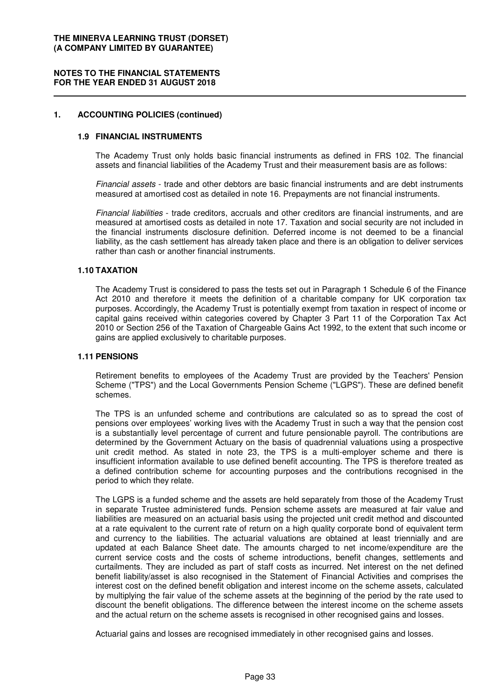#### **NOTES TO THE FINANCIAL STATEMENTS FOR THE YEAR ENDED 31 AUGUST 2018**

#### **1. ACCOUNTING POLICIES (continued)**

#### **1.9 FINANCIAL INSTRUMENTS**

The Academy Trust only holds basic financial instruments as defined in FRS 102. The financial assets and financial liabilities of the Academy Trust and their measurement basis are as follows:

Financial assets - trade and other debtors are basic financial instruments and are debt instruments measured at amortised cost as detailed in note 16. Prepayments are not financial instruments.

Financial liabilities - trade creditors, accruals and other creditors are financial instruments, and are measured at amortised costs as detailed in note 17. Taxation and social security are not included in the financial instruments disclosure definition. Deferred income is not deemed to be a financial liability, as the cash settlement has already taken place and there is an obligation to deliver services rather than cash or another financial instruments.

#### **1.10 TAXATION**

The Academy Trust is considered to pass the tests set out in Paragraph 1 Schedule 6 of the Finance Act 2010 and therefore it meets the definition of a charitable company for UK corporation tax purposes. Accordingly, the Academy Trust is potentially exempt from taxation in respect of income or capital gains received within categories covered by Chapter 3 Part 11 of the Corporation Tax Act 2010 or Section 256 of the Taxation of Chargeable Gains Act 1992, to the extent that such income or gains are applied exclusively to charitable purposes.

#### **1.11 PENSIONS**

Retirement benefits to employees of the Academy Trust are provided by the Teachers' Pension Scheme ("TPS") and the Local Governments Pension Scheme ("LGPS"). These are defined benefit schemes.

The TPS is an unfunded scheme and contributions are calculated so as to spread the cost of pensions over employees' working lives with the Academy Trust in such a way that the pension cost is a substantially level percentage of current and future pensionable payroll. The contributions are determined by the Government Actuary on the basis of quadrennial valuations using a prospective unit credit method. As stated in note 23, the TPS is a multi-employer scheme and there is insufficient information available to use defined benefit accounting. The TPS is therefore treated as a defined contribution scheme for accounting purposes and the contributions recognised in the period to which they relate.

The LGPS is a funded scheme and the assets are held separately from those of the Academy Trust in separate Trustee administered funds. Pension scheme assets are measured at fair value and liabilities are measured on an actuarial basis using the projected unit credit method and discounted at a rate equivalent to the current rate of return on a high quality corporate bond of equivalent term and currency to the liabilities. The actuarial valuations are obtained at least triennially and are updated at each Balance Sheet date. The amounts charged to net income/expenditure are the current service costs and the costs of scheme introductions, benefit changes, settlements and curtailments. They are included as part of staff costs as incurred. Net interest on the net defined benefit liability/asset is also recognised in the Statement of Financial Activities and comprises the interest cost on the defined benefit obligation and interest income on the scheme assets, calculated by multiplying the fair value of the scheme assets at the beginning of the period by the rate used to discount the benefit obligations. The difference between the interest income on the scheme assets and the actual return on the scheme assets is recognised in other recognised gains and losses.

Actuarial gains and losses are recognised immediately in other recognised gains and losses.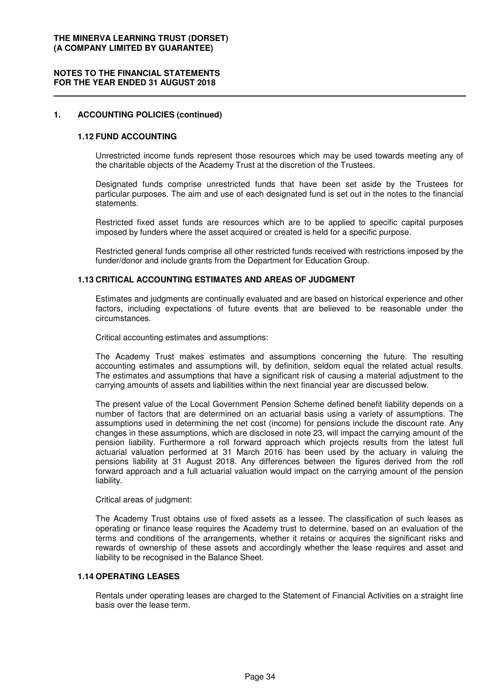#### **NOTES TO THE FINANCIAL STATEMENTS FOR THE YEAR ENDED 31 AUGUST 2018**

#### **1. ACCOUNTING POLICIES (continued)**

#### **1.12 FUND ACCOUNTING**

Unrestricted income funds represent those resources which may be used towards meeting any of the charitable objects of the Academy Trust at the discretion of the Trustees.

Designated funds comprise unrestricted funds that have been set aside by the Trustees for particular purposes. The aim and use of each designated fund is set out in the notes to the financial statements.

Restricted fixed asset funds are resources which are to be applied to specific capital purposes imposed by funders where the asset acquired or created is held for a specific purpose.

Restricted general funds comprise all other restricted funds received with restrictions imposed by the funder/donor and include grants from the Department for Education Group.

#### **1.13 CRITICAL ACCOUNTING ESTIMATES AND AREAS OF JUDGMENT**

Estimates and judgments are continually evaluated and are based on historical experience and other factors, including expectations of future events that are believed to be reasonable under the circumstances.

Critical accounting estimates and assumptions:

The Academy Trust makes estimates and assumptions concerning the future. The resulting accounting estimates and assumptions will, by definition, seldom equal the related actual results. The estimates and assumptions that have a significant risk of causing a material adjustment to the carrying amounts of assets and liabilities within the next financial year are discussed below.

The present value of the Local Government Pension Scheme defined benefit liability depends on a number of factors that are determined on an actuarial basis using a variety of assumptions. The assumptions used in determining the net cost (income) for pensions include the discount rate. Any changes in these assumptions, which are disclosed in note 23, will impact the carrying amount of the pension liability. Furthermore a roll forward approach which projects results from the latest full actuarial valuation performed at 31 March 2016 has been used by the actuary in valuing the pensions liability at 31 August 2018. Any differences between the figures derived from the roll forward approach and a full actuarial valuation would impact on the carrying amount of the pension liability.

Critical areas of judgment:

The Academy Trust obtains use of fixed assets as a lessee. The classification of such leases as operating or finance lease requires the Academy trust to determine, based on an evaluation of the terms and conditions of the arrangements, whether it retains or acquires the significant risks and rewards of ownership of these assets and accordingly whether the lease requires and asset and liability to be recognised in the Balance Sheet.

#### **1.14 OPERATING LEASES**

Rentals under operating leases are charged to the Statement of Financial Activities on a straight line basis over the lease term.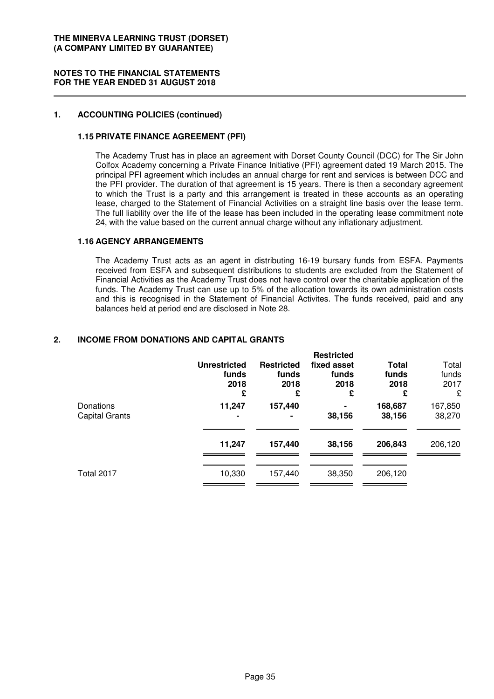#### **NOTES TO THE FINANCIAL STATEMENTS FOR THE YEAR ENDED 31 AUGUST 2018**

### **1. ACCOUNTING POLICIES (continued)**

# **1.15 PRIVATE FINANCE AGREEMENT (PFI)**

The Academy Trust has in place an agreement with Dorset County Council (DCC) for The Sir John Colfox Academy concerning a Private Finance Initiative (PFI) agreement dated 19 March 2015. The principal PFI agreement which includes an annual charge for rent and services is between DCC and the PFI provider. The duration of that agreement is 15 years. There is then a secondary agreement to which the Trust is a party and this arrangement is treated in these accounts as an operating lease, charged to the Statement of Financial Activities on a straight line basis over the lease term. The full liability over the life of the lease has been included in the operating lease commitment note 24, with the value based on the current annual charge without any inflationary adjustment.

### **1.16 AGENCY ARRANGEMENTS**

The Academy Trust acts as an agent in distributing 16-19 bursary funds from ESFA. Payments received from ESFA and subsequent distributions to students are excluded from the Statement of Financial Activities as the Academy Trust does not have control over the charitable application of the funds. The Academy Trust can use up to 5% of the allocation towards its own administration costs and this is recognised in the Statement of Financial Activites. The funds received, paid and any balances held at period end are disclosed in Note 28.

# **2. INCOME FROM DONATIONS AND CAPITAL GRANTS**

|                             | <b>Unrestricted</b><br>funds<br>2018<br>£ | <b>Restricted</b><br>funds<br>2018<br>£ | <b>Restricted</b><br>fixed asset<br>funds<br>2018<br>£ | <b>Total</b><br>funds<br>2018<br>£ | Total<br>funds<br>2017<br>£ |
|-----------------------------|-------------------------------------------|-----------------------------------------|--------------------------------------------------------|------------------------------------|-----------------------------|
| Donations<br>Capital Grants | 11,247                                    | 157,440                                 | $\blacksquare$<br>38,156                               | 168,687<br>38,156                  | 167,850<br>38,270           |
|                             | 11,247                                    | 157,440                                 | 38,156                                                 | 206,843                            | 206,120                     |
| <b>Total 2017</b>           | 10,330                                    | 157,440                                 | 38,350                                                 | 206,120                            |                             |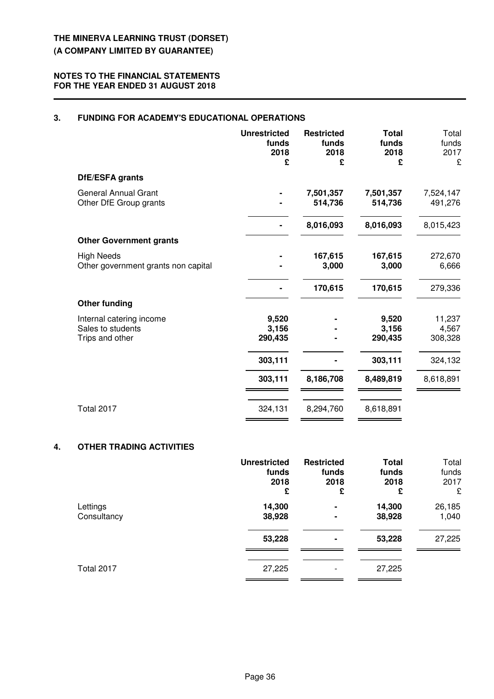# **3. FUNDING FOR ACADEMY'S EDUCATIONAL OPERATIONS**

|                                                                  | <b>Unrestricted</b><br>funds<br>2018<br>£ | <b>Restricted</b><br>funds<br>2018<br>£ | <b>Total</b><br>funds<br>2018<br>£ | Total<br>funds<br>2017<br>£ |
|------------------------------------------------------------------|-------------------------------------------|-----------------------------------------|------------------------------------|-----------------------------|
| DfE/ESFA grants                                                  |                                           |                                         |                                    |                             |
| <b>General Annual Grant</b><br>Other DfE Group grants            |                                           | 7,501,357<br>514,736                    | 7,501,357<br>514,736               | 7,524,147<br>491,276        |
|                                                                  |                                           | 8,016,093                               | 8,016,093                          | 8,015,423                   |
| <b>Other Government grants</b>                                   |                                           |                                         |                                    |                             |
| <b>High Needs</b><br>Other government grants non capital         |                                           | 167,615<br>3,000                        | 167,615<br>3,000                   | 272,670<br>6,666            |
|                                                                  |                                           | 170,615                                 | 170,615                            | 279,336                     |
| <b>Other funding</b>                                             |                                           |                                         |                                    |                             |
| Internal catering income<br>Sales to students<br>Trips and other | 9,520<br>3,156<br>290,435                 |                                         | 9,520<br>3,156<br>290,435          | 11,237<br>4,567<br>308,328  |
|                                                                  | 303,111                                   |                                         | 303,111                            | 324,132                     |
|                                                                  | 303,111                                   | 8,186,708                               | 8,489,819                          | 8,618,891                   |
| <b>Total 2017</b>                                                | 324,131                                   | 8,294,760                               | 8,618,891                          |                             |

# **4. OTHER TRADING ACTIVITIES**

|             | <b>Unrestricted</b> | <b>Restricted</b>        | <b>Total</b> | Total  |
|-------------|---------------------|--------------------------|--------------|--------|
|             | funds               | funds                    | funds        | funds  |
|             | 2018                | 2018                     | 2018         | 2017   |
|             | £                   | £                        | £            | £      |
| Lettings    | 14,300              | ۰                        | 14,300       | 26,185 |
| Consultancy | 38,928              | $\blacksquare$           | 38,928       | 1,040  |
|             | 53,228              | ۰                        | 53,228       | 27,225 |
| Total 2017  | 27,225              | $\overline{\phantom{a}}$ | 27,225       |        |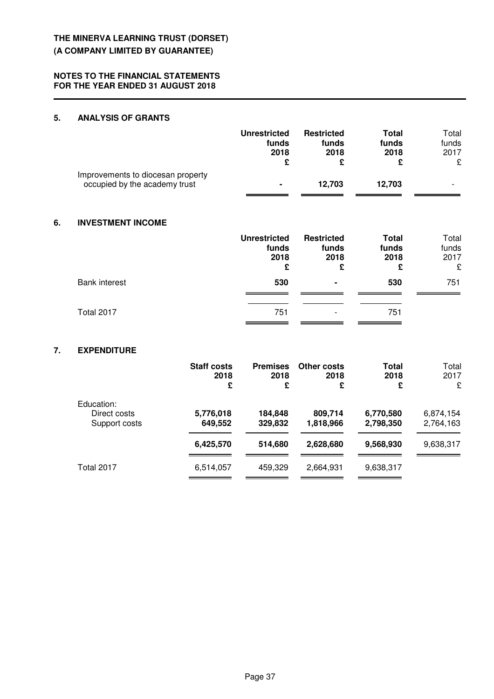# **NOTES TO THE FINANCIAL STATEMENTS FOR THE YEAR ENDED 31 AUGUST 2018**

# **5. ANALYSIS OF GRANTS**

|                                                                    | <b>Unrestricted</b><br>funds<br>2018 | <b>Restricted</b><br>funds<br>2018 | Total<br>funds<br>2018 | Total<br>funds<br>2017<br>£ |
|--------------------------------------------------------------------|--------------------------------------|------------------------------------|------------------------|-----------------------------|
| Improvements to diocesan property<br>occupied by the academy trust | $\blacksquare$                       | 12.703                             | 12.703                 |                             |

# **6. INVESTMENT INCOME**

|                      | <b>Unrestricted</b><br>funds<br>2018<br>£ | <b>Restricted</b><br>funds<br>2018<br>£ | <b>Total</b><br>funds<br>2018<br>£ | Total<br>funds<br>2017<br>£ |
|----------------------|-------------------------------------------|-----------------------------------------|------------------------------------|-----------------------------|
| <b>Bank interest</b> | 530                                       | ٠                                       | 530                                | 751                         |
| Total 2017           | 751                                       | $\overline{\phantom{a}}$                | 751                                |                             |

# **7. EXPENDITURE**

|                                             | <b>Staff costs</b><br>2018<br>£ | <b>Premises</b><br>2018<br>£ | <b>Other costs</b><br>2018<br>£ | Total<br>2018<br>£     | Total<br>2017<br>£     |
|---------------------------------------------|---------------------------------|------------------------------|---------------------------------|------------------------|------------------------|
| Education:<br>Direct costs<br>Support costs | 5,776,018<br>649,552            | 184,848<br>329,832           | 809,714<br>1,818,966            | 6,770,580<br>2,798,350 | 6,874,154<br>2,764,163 |
|                                             | 6,425,570                       | 514,680                      | 2,628,680                       | 9,568,930              | 9,638,317              |
| Total 2017                                  | 6,514,057                       | 459,329                      | 2,664,931                       | 9,638,317              |                        |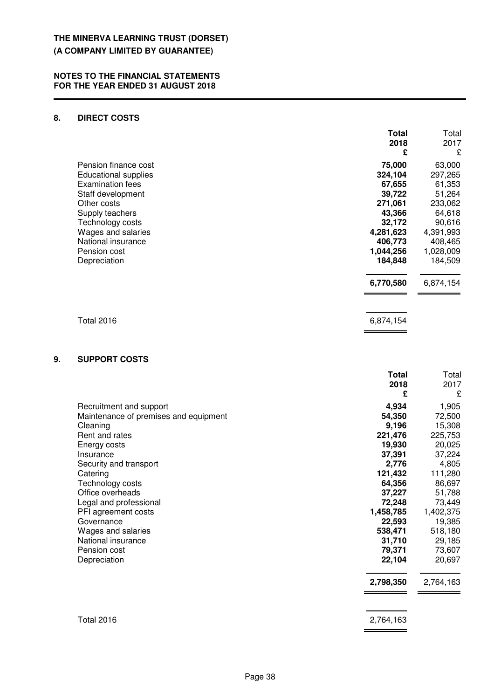# **8. DIRECT COSTS**

|    |                                | <b>Total</b><br>2018<br>£ | Total<br>2017<br>£   |
|----|--------------------------------|---------------------------|----------------------|
|    | Pension finance cost           | 75,000                    | 63,000               |
|    | <b>Educational supplies</b>    | 324,104                   | 297,265              |
|    | <b>Examination fees</b>        | 67,655                    | 61,353               |
|    | Staff development              | 39,722                    | 51,264               |
|    | Other costs                    | 271,061                   | 233,062              |
|    | Supply teachers                | 43,366                    | 64,618               |
|    | Technology costs               | 32,172                    | 90,616               |
|    | Wages and salaries             | 4,281,623                 | 4,391,993            |
|    | National insurance             | 406,773                   | 408,465              |
|    | Pension cost<br>Depreciation   | 1,044,256<br>184,848      | 1,028,009<br>184,509 |
|    |                                | 6,770,580                 | 6,874,154            |
|    | <b>Total 2016</b>              | 6,874,154                 |                      |
|    |                                |                           |                      |
| 9. | <b>SUPPORT COSTS</b>           |                           |                      |
|    |                                | <b>Total</b><br>2018      | Total<br>2017        |
|    |                                | £                         | £                    |
|    | <b>Recruitment and support</b> | 4934                      | 1 905                |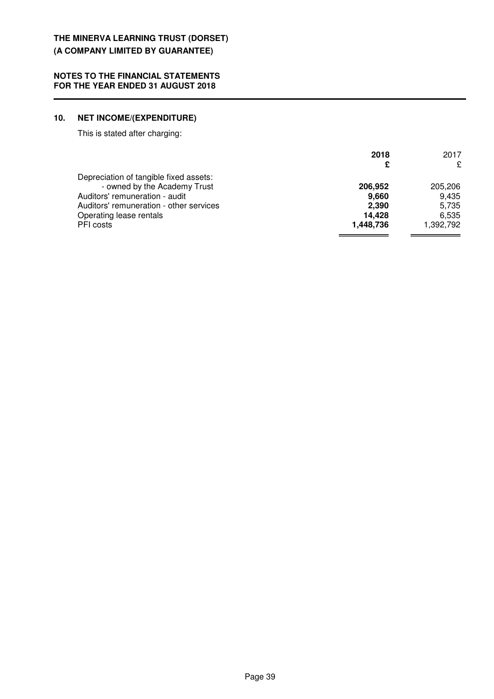# **10. NET INCOME/(EXPENDITURE)**

This is stated after charging:

|                                         | 2018      | 2017      |
|-----------------------------------------|-----------|-----------|
|                                         |           | ç         |
| Depreciation of tangible fixed assets:  |           |           |
| - owned by the Academy Trust            | 206,952   | 205,206   |
| Auditors' remuneration - audit          | 9,660     | 9.435     |
| Auditors' remuneration - other services | 2.390     | 5.735     |
| Operating lease rentals                 | 14,428    | 6.535     |
| PFI costs                               | 1,448,736 | 1,392,792 |
|                                         |           |           |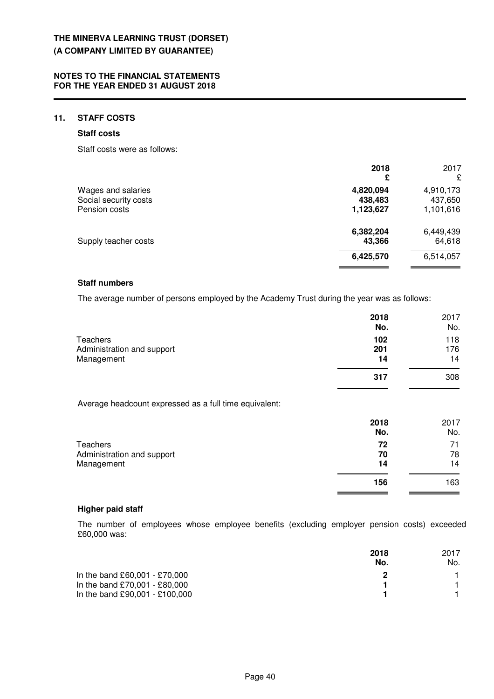# **11. STAFF COSTS**

### **Staff costs**

Staff costs were as follows:

|                                                              | 2018<br>£                         | 2017<br>£                         |
|--------------------------------------------------------------|-----------------------------------|-----------------------------------|
| Wages and salaries<br>Social security costs<br>Pension costs | 4,820,094<br>438,483<br>1,123,627 | 4,910,173<br>437,650<br>1,101,616 |
| Supply teacher costs                                         | 6,382,204<br>43,366               | 6,449,439<br>64,618               |
|                                                              | 6,425,570                         | 6,514,057                         |

### **Staff numbers**

The average number of persons employed by the Academy Trust during the year was as follows:

|                                                             | 2018<br>No.      | 2017<br>No.      |
|-------------------------------------------------------------|------------------|------------------|
| <b>Teachers</b><br>Administration and support<br>Management | 102<br>201<br>14 | 118<br>176<br>14 |
|                                                             | 317              | 308              |
| Average headcount expressed as a full time equivalent:      |                  |                  |
|                                                             | 2018<br>No.      | 2017<br>No.      |
| Teachers                                                    | 72               | 71               |

| Teachers                   | 72  | 71  |
|----------------------------|-----|-----|
| Administration and support | 70  | 78  |
| Management                 | 14  | 14  |
|                            | 156 | 163 |

## **Higher paid staff**

The number of employees whose employee benefits (excluding employer pension costs) exceeded £60,000 was:

**156** 163

|                                | 2018<br>No. | 2017<br>No. |
|--------------------------------|-------------|-------------|
| In the band £60,001 - £70,000  |             |             |
| In the band £70,001 - £80,000  |             |             |
| In the band £90,001 - £100,000 |             |             |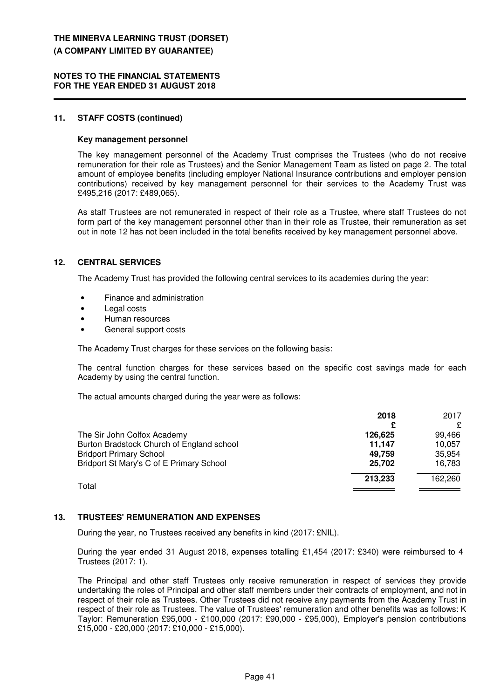#### **NOTES TO THE FINANCIAL STATEMENTS FOR THE YEAR ENDED 31 AUGUST 2018**

#### **11. STAFF COSTS (continued)**

#### **Key management personnel**

The key management personnel of the Academy Trust comprises the Trustees (who do not receive remuneration for their role as Trustees) and the Senior Management Team as listed on page 2. The total amount of employee benefits (including employer National Insurance contributions and employer pension contributions) received by key management personnel for their services to the Academy Trust was £495,216 (2017: £489,065).

As staff Trustees are not remunerated in respect of their role as a Trustee, where staff Trustees do not form part of the key management personnel other than in their role as Trustee, their remuneration as set out in note 12 has not been included in the total benefits received by key management personnel above.

### **12. CENTRAL SERVICES**

The Academy Trust has provided the following central services to its academies during the year:

- Finance and administration
- Legal costs
- Human resources
- General support costs

The Academy Trust charges for these services on the following basis:

The central function charges for these services based on the specific cost savings made for each Academy by using the central function.

The actual amounts charged during the year were as follows:

|                                           | 2018    | 2017    |
|-------------------------------------------|---------|---------|
|                                           |         | £       |
| The Sir John Colfox Academy               | 126,625 | 99.466  |
| Burton Bradstock Church of England school | 11.147  | 10.057  |
| <b>Bridport Primary School</b>            | 49.759  | 35.954  |
| Bridport St Mary's C of E Primary School  | 25.702  | 16.783  |
| Total                                     | 213,233 | 162,260 |
|                                           |         |         |

# **13. TRUSTEES' REMUNERATION AND EXPENSES**

During the year, no Trustees received any benefits in kind (2017: £NIL).

During the year ended 31 August 2018, expenses totalling £1,454 (2017: £340) were reimbursed to 4 Trustees (2017: 1).

The Principal and other staff Trustees only receive remuneration in respect of services they provide undertaking the roles of Principal and other staff members under their contracts of employment, and not in respect of their role as Trustees. Other Trustees did not receive any payments from the Academy Trust in respect of their role as Trustees. The value of Trustees' remuneration and other benefits was as follows: K Taylor: Remuneration £95,000 - £100,000 (2017: £90,000 - £95,000), Employer's pension contributions £15,000 - £20,000 (2017: £10,000 - £15,000).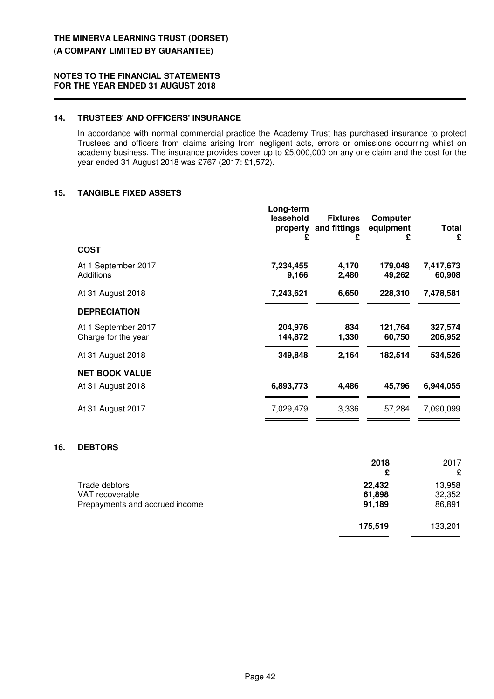# **14. TRUSTEES' AND OFFICERS' INSURANCE**

In accordance with normal commercial practice the Academy Trust has purchased insurance to protect Trustees and officers from claims arising from negligent acts, errors or omissions occurring whilst on academy business. The insurance provides cover up to £5,000,000 on any one claim and the cost for the year ended 31 August 2018 was £767 (2017: £1,572).

# **15. TANGIBLE FIXED ASSETS**

|                                            | Long-term<br>leasehold<br>property<br>£ | <b>Fixtures</b><br>and fittings<br>£ | Computer<br>equipment<br>£ | <b>Total</b><br>£   |
|--------------------------------------------|-----------------------------------------|--------------------------------------|----------------------------|---------------------|
| <b>COST</b>                                |                                         |                                      |                            |                     |
| At 1 September 2017<br>Additions           | 7,234,455<br>9,166                      | 4,170<br>2,480                       | 179,048<br>49,262          | 7,417,673<br>60,908 |
| At 31 August 2018                          | 7,243,621                               | 6,650                                | 228,310                    | 7,478,581           |
| <b>DEPRECIATION</b>                        |                                         |                                      |                            |                     |
| At 1 September 2017<br>Charge for the year | 204,976<br>144,872                      | 834<br>1,330                         | 121,764<br>60,750          | 327,574<br>206,952  |
| At 31 August 2018                          | 349,848                                 | 2,164                                | 182,514                    | 534,526             |
| <b>NET BOOK VALUE</b>                      |                                         |                                      |                            |                     |
| At 31 August 2018                          | 6,893,773                               | 4,486                                | 45,796                     | 6,944,055           |
| At 31 August 2017                          | 7,029,479                               | 3,336                                | 57,284                     | 7,090,099           |
|                                            |                                         |                                      |                            |                     |

#### **16. DEBTORS**

|                                | 2018    | 2017    |
|--------------------------------|---------|---------|
|                                | £       | £       |
| Trade debtors                  | 22,432  | 13,958  |
| VAT recoverable                | 61,898  | 32,352  |
| Prepayments and accrued income | 91,189  | 86,891  |
|                                | 175,519 | 133,201 |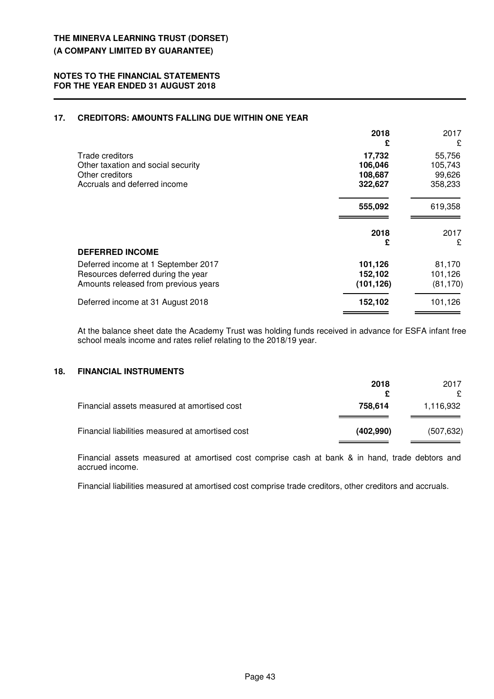# **17. CREDITORS: AMOUNTS FALLING DUE WITHIN ONE YEAR**

|                                      | 2018       | 2017      |
|--------------------------------------|------------|-----------|
|                                      | £          | £         |
| Trade creditors                      | 17,732     | 55,756    |
| Other taxation and social security   | 106,046    | 105,743   |
| Other creditors                      | 108,687    | 99,626    |
| Accruals and deferred income         | 322,627    | 358,233   |
|                                      | 555,092    | 619,358   |
|                                      | 2018       | 2017<br>£ |
| <b>DEFERRED INCOME</b>               | £          |           |
| Deferred income at 1 September 2017  | 101,126    | 81,170    |
| Resources deferred during the year   | 152,102    | 101,126   |
| Amounts released from previous years | (101, 126) | (81, 170) |
|                                      |            |           |

At the balance sheet date the Academy Trust was holding funds received in advance for ESFA infant free school meals income and rates relief relating to the 2018/19 year.

# **18. FINANCIAL INSTRUMENTS**

|                                                  | 2018      | 2017<br>£  |
|--------------------------------------------------|-----------|------------|
| Financial assets measured at amortised cost      | 758.614   | 1,116,932  |
| Financial liabilities measured at amortised cost | (402,990) | (507, 632) |

Financial assets measured at amortised cost comprise cash at bank & in hand, trade debtors and accrued income.

Financial liabilities measured at amortised cost comprise trade creditors, other creditors and accruals.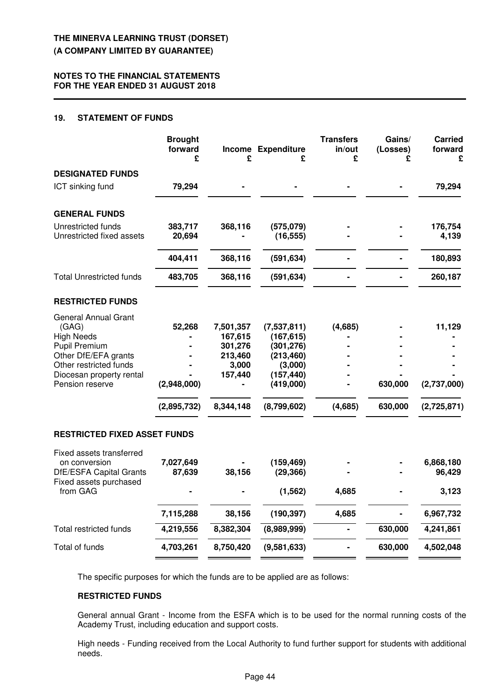# **19. STATEMENT OF FUNDS**

|                                                                                                                                                                                    | <b>Brought</b><br>forward<br>£       | £                                                                           | Income Expenditure<br>£                                                                                    | <b>Transfers</b><br>in/out<br>£ | Gains/<br>(Losses)<br>£ | <b>Carried</b><br>forward<br>£       |
|------------------------------------------------------------------------------------------------------------------------------------------------------------------------------------|--------------------------------------|-----------------------------------------------------------------------------|------------------------------------------------------------------------------------------------------------|---------------------------------|-------------------------|--------------------------------------|
| <b>DESIGNATED FUNDS</b>                                                                                                                                                            |                                      |                                                                             |                                                                                                            |                                 |                         |                                      |
| ICT sinking fund                                                                                                                                                                   | 79,294                               |                                                                             |                                                                                                            |                                 |                         | 79,294                               |
| <b>GENERAL FUNDS</b>                                                                                                                                                               |                                      |                                                                             |                                                                                                            |                                 |                         |                                      |
| Unrestricted funds<br>Unrestricted fixed assets                                                                                                                                    | 383,717<br>20,694                    | 368,116                                                                     | (575,079)<br>(16, 555)                                                                                     |                                 |                         | 176,754<br>4,139                     |
|                                                                                                                                                                                    | 404,411                              | 368,116                                                                     | (591, 634)                                                                                                 |                                 |                         | 180,893                              |
| <b>Total Unrestricted funds</b>                                                                                                                                                    | 483,705                              | 368,116                                                                     | (591, 634)                                                                                                 |                                 |                         | 260,187                              |
| <b>RESTRICTED FUNDS</b>                                                                                                                                                            |                                      |                                                                             |                                                                                                            |                                 |                         |                                      |
| <b>General Annual Grant</b><br>(GAG)<br><b>High Needs</b><br><b>Pupil Premium</b><br>Other DfE/EFA grants<br>Other restricted funds<br>Diocesan property rental<br>Pension reserve | 52,268<br>(2,948,000)<br>(2,895,732) | 7,501,357<br>167,615<br>301,276<br>213,460<br>3,000<br>157,440<br>8,344,148 | (7,537,811)<br>(167, 615)<br>(301, 276)<br>(213, 460)<br>(3,000)<br>(157, 440)<br>(419,000)<br>(8,799,602) | (4,685)<br>(4,685)              | 630,000<br>630,000      | 11,129<br>(2,737,000)<br>(2,725,871) |
| <b>RESTRICTED FIXED ASSET FUNDS</b>                                                                                                                                                |                                      |                                                                             |                                                                                                            |                                 |                         |                                      |
| Fixed assets transferred<br>on conversion<br><b>DfE/ESFA Capital Grants</b><br>Fixed assets purchased<br>from GAG                                                                  | 7,027,649<br>87,639                  | 38,156                                                                      | (159, 469)<br>(29, 366)<br>(1, 562)                                                                        | 4,685                           |                         | 6,868,180<br>96,429<br>3,123         |
|                                                                                                                                                                                    | 7,115,288                            | 38,156                                                                      | (190, 397)                                                                                                 | 4,685                           |                         | 6,967,732                            |
| <b>Total restricted funds</b>                                                                                                                                                      | 4,219,556                            | 8,382,304                                                                   | (8,989,999)                                                                                                |                                 | 630,000                 | 4,241,861                            |
| Total of funds                                                                                                                                                                     | 4,703,261                            | 8,750,420                                                                   | (9,581,633)                                                                                                |                                 | 630,000                 | 4,502,048                            |

The specific purposes for which the funds are to be applied are as follows:

# **RESTRICTED FUNDS**

General annual Grant - Income from the ESFA which is to be used for the normal running costs of the Academy Trust, including education and support costs.

High needs - Funding received from the Local Authority to fund further support for students with additional needs.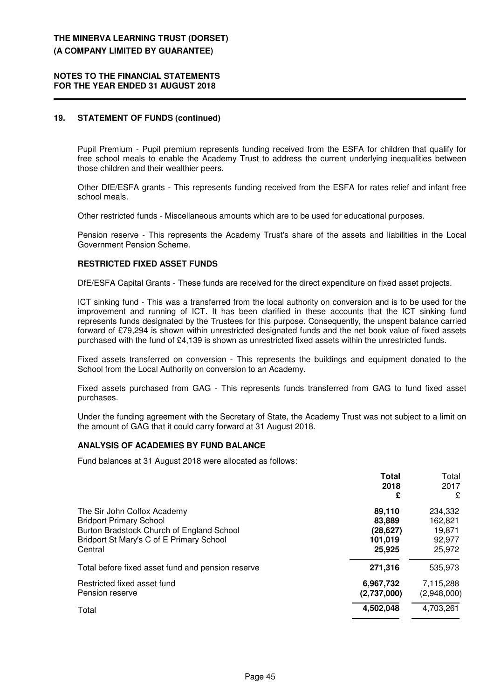#### **NOTES TO THE FINANCIAL STATEMENTS FOR THE YEAR ENDED 31 AUGUST 2018**

# **19. STATEMENT OF FUNDS (continued)**

Pupil Premium - Pupil premium represents funding received from the ESFA for children that qualify for free school meals to enable the Academy Trust to address the current underlying inequalities between those children and their wealthier peers.

Other DfE/ESFA grants - This represents funding received from the ESFA for rates relief and infant free school meals.

Other restricted funds - Miscellaneous amounts which are to be used for educational purposes.

Pension reserve - This represents the Academy Trust's share of the assets and liabilities in the Local Government Pension Scheme.

### **RESTRICTED FIXED ASSET FUNDS**

DfE/ESFA Capital Grants - These funds are received for the direct expenditure on fixed asset projects.

ICT sinking fund - This was a transferred from the local authority on conversion and is to be used for the improvement and running of ICT. It has been clarified in these accounts that the ICT sinking fund represents funds designated by the Trustees for this purpose. Consequently, the unspent balance carried forward of £79,294 is shown within unrestricted designated funds and the net book value of fixed assets purchased with the fund of £4,139 is shown as unrestricted fixed assets within the unrestricted funds.

Fixed assets transferred on conversion - This represents the buildings and equipment donated to the School from the Local Authority on conversion to an Academy.

Fixed assets purchased from GAG - This represents funds transferred from GAG to fund fixed asset purchases.

Under the funding agreement with the Secretary of State, the Academy Trust was not subject to a limit on the amount of GAG that it could carry forward at 31 August 2018.

#### **ANALYSIS OF ACADEMIES BY FUND BALANCE**

Fund balances at 31 August 2018 were allocated as follows:

|                                                   | Total       | Total       |
|---------------------------------------------------|-------------|-------------|
|                                                   | 2018        | 2017        |
|                                                   | £           | £           |
| The Sir John Colfox Academy                       | 89,110      | 234,332     |
| <b>Bridport Primary School</b>                    | 83,889      | 162,821     |
| Burton Bradstock Church of England School         | (28, 627)   | 19,871      |
| Bridport St Mary's C of E Primary School          | 101,019     | 92,977      |
| Central                                           | 25,925      | 25,972      |
| Total before fixed asset fund and pension reserve | 271,316     | 535,973     |
| Restricted fixed asset fund                       | 6,967,732   | 7,115,288   |
| Pension reserve                                   | (2,737,000) | (2,948,000) |
| Total                                             | 4,502,048   | 4,703,261   |
|                                                   |             |             |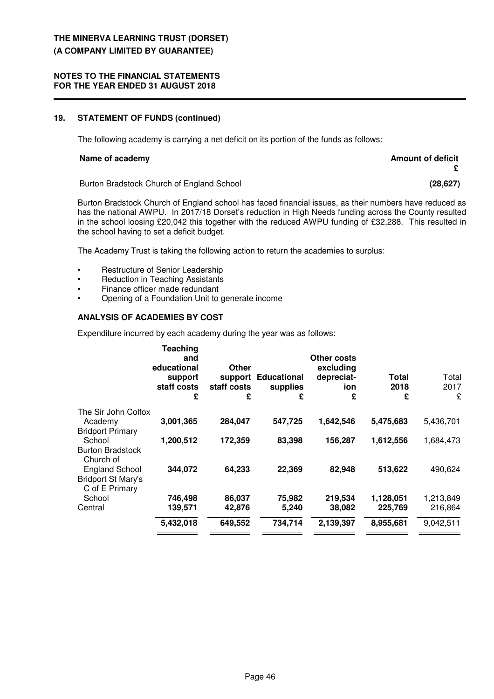#### **NOTES TO THE FINANCIAL STATEMENTS FOR THE YEAR ENDED 31 AUGUST 2018**

# **19. STATEMENT OF FUNDS (continued)**

The following academy is carrying a net deficit on its portion of the funds as follows:

#### **Name of academy Amount of deficit**

**£**

Burton Bradstock Church of England School **(28,627)**

Burton Bradstock Church of England school has faced financial issues, as their numbers have reduced as has the national AWPU. In 2017/18 Dorset's reduction in High Needs funding across the County resulted in the school loosing £20,042 this together with the reduced AWPU funding of £32,288. This resulted in the school having to set a deficit budget.

The Academy Trust is taking the following action to return the academies to surplus:

- Restructure of Senior Leadership
- Reduction in Teaching Assistants
- Finance officer made redundant
- Opening of a Foundation Unit to generate income

# **ANALYSIS OF ACADEMIES BY COST**

Expenditure incurred by each academy during the year was as follows:

|                                             | <b>Teaching</b><br>and<br>educational<br>support<br>staff costs<br>£ | Other<br>support<br>staff costs<br>£ | <b>Educational</b><br>supplies<br>£ | Other costs<br>excluding<br>depreciat-<br>ion<br>£ | Total<br>2018<br>£ | Total<br>2017<br>£ |
|---------------------------------------------|----------------------------------------------------------------------|--------------------------------------|-------------------------------------|----------------------------------------------------|--------------------|--------------------|
| The Sir John Colfox                         |                                                                      |                                      |                                     |                                                    |                    |                    |
| Academy                                     | 3,001,365                                                            | 284,047                              | 547,725                             | 1,642,546                                          | 5,475,683          | 5,436,701          |
| <b>Bridport Primary</b>                     |                                                                      |                                      |                                     |                                                    |                    |                    |
| School                                      | 1,200,512                                                            | 172,359                              | 83,398                              | 156,287                                            | 1,612,556          | 1,684,473          |
| <b>Burton Bradstock</b>                     |                                                                      |                                      |                                     |                                                    |                    |                    |
| Church of                                   |                                                                      |                                      |                                     |                                                    |                    |                    |
| <b>England School</b>                       | 344,072                                                              | 64,233                               | 22,369                              | 82,948                                             | 513,622            | 490,624            |
| <b>Bridport St Mary's</b><br>C of E Primary |                                                                      |                                      |                                     |                                                    |                    |                    |
| School                                      | 746,498                                                              | 86,037                               | 75,982                              | 219,534                                            | 1,128,051          | 1,213,849          |
| Central                                     | 139,571                                                              | 42,876                               | 5,240                               | 38,082                                             | 225,769            | 216,864            |
|                                             |                                                                      |                                      |                                     |                                                    |                    |                    |
|                                             | 5,432,018                                                            | 649,552                              | 734,714                             | 2,139,397                                          | 8,955,681          | 9,042,511          |
|                                             |                                                                      |                                      |                                     |                                                    |                    |                    |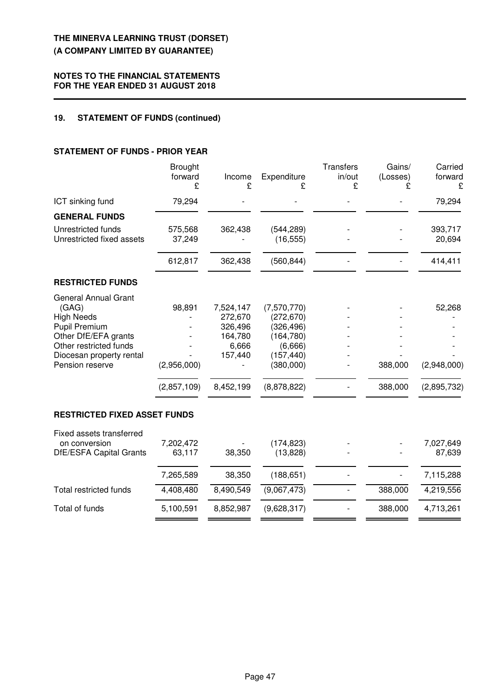# **NOTES TO THE FINANCIAL STATEMENTS FOR THE YEAR ENDED 31 AUGUST 2018**

# **19. STATEMENT OF FUNDS (continued)**

# **STATEMENT OF FUNDS - PRIOR YEAR**

|                                           | <b>Brought</b><br>forward<br>£ | Income<br>£        | Expenditure<br>ç         | <b>Transfers</b><br>in/out<br>£ | Gains/<br>(Losses) | Carried<br>forward<br>ç |
|-------------------------------------------|--------------------------------|--------------------|--------------------------|---------------------------------|--------------------|-------------------------|
| ICT sinking fund                          | 79,294                         |                    |                          |                                 |                    | 79,294                  |
| <b>GENERAL FUNDS</b>                      |                                |                    |                          |                                 |                    |                         |
| Unrestricted funds                        | 575,568                        | 362,438            | (544, 289)               |                                 |                    | 393,717                 |
| Unrestricted fixed assets                 | 37,249                         |                    | (16, 555)                |                                 |                    | 20,694                  |
|                                           | 612,817                        | 362,438            | (560, 844)               |                                 |                    | 414,411                 |
| <b>RESTRICTED FUNDS</b>                   |                                |                    |                          |                                 |                    |                         |
| <b>General Annual Grant</b>               |                                |                    |                          |                                 |                    |                         |
| (GAG)                                     | 98,891                         | 7,524,147          | (7,570,770)              |                                 |                    | 52,268                  |
| <b>High Needs</b><br><b>Pupil Premium</b> |                                | 272,670<br>326,496 | (272, 670)<br>(326, 496) |                                 |                    |                         |
| Other DfE/EFA grants                      |                                | 164,780            | (164, 780)               |                                 |                    |                         |
| Other restricted funds                    |                                | 6,666              | (6,666)                  |                                 |                    |                         |
| Diocesan property rental                  |                                | 157,440            | (157, 440)               |                                 |                    |                         |
| Pension reserve                           | (2,956,000)                    |                    | (380,000)                |                                 | 388,000            | (2,948,000)             |
|                                           | (2,857,109)                    | 8,452,199          | (8,878,822)              |                                 | 388,000            | (2,895,732)             |
| <b>RESTRICTED FIXED ASSET FUNDS</b>       |                                |                    |                          |                                 |                    |                         |
| Fixed assets transferred                  |                                |                    |                          |                                 |                    |                         |
| on conversion                             | 7,202,472                      |                    | (174, 823)               |                                 |                    | 7,027,649               |
| DfE/ESFA Capital Grants                   | 63,117                         | 38,350             | (13, 828)                |                                 |                    | 87,639                  |
|                                           | 7,265,589                      | 38,350             | (188, 651)               |                                 |                    | 7,115,288               |
| <b>Total restricted funds</b>             | 4,408,480                      | 8,490,549          | (9,067,473)              |                                 | 388,000            | 4,219,556               |
| Total of funds                            | 5,100,591                      | 8,852,987          | (9,628,317)              |                                 | 388,000            | 4,713,261               |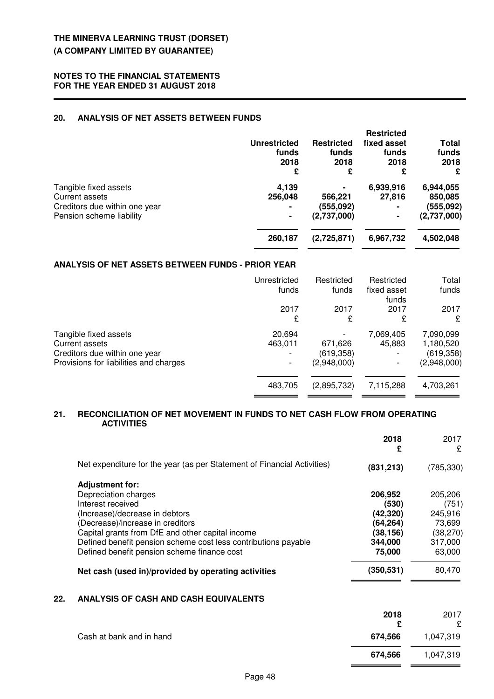# **20. ANALYSIS OF NET ASSETS BETWEEN FUNDS**

|                               | <b>Unrestricted</b><br>funds<br>2018<br>£ | <b>Restricted</b><br>funds<br>2018<br>£ | <b>Restricted</b><br>fixed asset<br>funds<br>2018<br>£ | Total<br>funds<br>2018<br>£ |
|-------------------------------|-------------------------------------------|-----------------------------------------|--------------------------------------------------------|-----------------------------|
| Tangible fixed assets         | 4,139                                     | $\blacksquare$                          | 6,939,916                                              | 6,944,055                   |
| Current assets                | 256,048                                   | 566,221                                 | 27,816                                                 | 850,085                     |
| Creditors due within one year | $\blacksquare$                            | (555,092)                               | ۰                                                      | (555,092)                   |
| Pension scheme liability      | ٠                                         | (2,737,000)                             |                                                        | (2,737,000)                 |
|                               | 260,187                                   | (2,725,871)                             | 6,967,732                                              | 4,502,048                   |

#### **ANALYSIS OF NET ASSETS BETWEEN FUNDS - PRIOR YEAR**

|                                        | Unrestricted   | Restricted  | Restricted           | Total       |
|----------------------------------------|----------------|-------------|----------------------|-------------|
|                                        | funds          | funds       | fixed asset<br>funds | funds       |
|                                        | 2017           | 2017        | 2017                 | 2017        |
|                                        | £              | £           | £                    | £           |
| Tangible fixed assets                  | 20,694         |             | 7,069,405            | 7,090,099   |
| Current assets                         | 463,011        | 671,626     | 45,883               | 1,180,520   |
| Creditors due within one year          |                | (619, 358)  |                      | (619, 358)  |
| Provisions for liabilities and charges | $\overline{a}$ | (2,948,000) |                      | (2,948,000) |
|                                        |                |             |                      |             |
|                                        | 483,705        | (2,895,732) | 7,115,288            | 4,703,261   |
|                                        |                |             |                      |             |

#### **21. RECONCILIATION OF NET MOVEMENT IN FUNDS TO NET CASH FLOW FROM OPERATING ACTIVITIES**

|     |                                                                         | 2018<br>£  | 2017<br>£  |
|-----|-------------------------------------------------------------------------|------------|------------|
|     | Net expenditure for the year (as per Statement of Financial Activities) | (831, 213) | (785, 330) |
|     | <b>Adjustment for:</b>                                                  |            |            |
|     | Depreciation charges                                                    | 206,952    | 205,206    |
|     | Interest received                                                       | (530)      | (751)      |
|     | (Increase)/decrease in debtors                                          | (42, 320)  | 245,916    |
|     | (Decrease)/increase in creditors                                        | (64, 264)  | 73,699     |
|     | Capital grants from DfE and other capital income                        | (38, 156)  | (38, 270)  |
|     | Defined benefit pension scheme cost less contributions payable          | 344,000    | 317,000    |
|     | Defined benefit pension scheme finance cost                             | 75,000     | 63,000     |
|     | Net cash (used in)/provided by operating activities                     | (350,531)  | 80,470     |
| 22. | <b>ANALYSIS OF CASH AND CASH EQUIVALENTS</b>                            |            |            |
|     |                                                                         | 2018       | 2017       |
|     |                                                                         |            | £          |
|     |                                                                         |            |            |

Cash at bank and in hand **674,566** 1,047,319

 **674,566** 1,047,319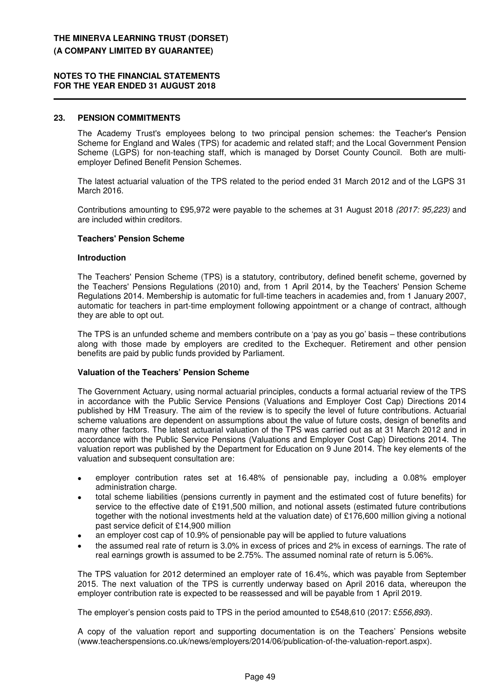#### **NOTES TO THE FINANCIAL STATEMENTS FOR THE YEAR ENDED 31 AUGUST 2018**

#### **23. PENSION COMMITMENTS**

The Academy Trust's employees belong to two principal pension schemes: the Teacher's Pension Scheme for England and Wales (TPS) for academic and related staff; and the Local Government Pension Scheme (LGPS) for non-teaching staff, which is managed by Dorset County Council. Both are multiemployer Defined Benefit Pension Schemes.

The latest actuarial valuation of the TPS related to the period ended 31 March 2012 and of the LGPS 31 March 2016.

Contributions amounting to £95,972 were payable to the schemes at 31 August 2018 (2017: 95,223) and are included within creditors.

#### **Teachers' Pension Scheme**

#### **Introduction**

The Teachers' Pension Scheme (TPS) is a statutory, contributory, defined benefit scheme, governed by the Teachers' Pensions Regulations (2010) and, from 1 April 2014, by the Teachers' Pension Scheme Regulations 2014. Membership is automatic for full-time teachers in academies and, from 1 January 2007, automatic for teachers in part-time employment following appointment or a change of contract, although they are able to opt out.

The TPS is an unfunded scheme and members contribute on a 'pay as you go' basis – these contributions along with those made by employers are credited to the Exchequer. Retirement and other pension benefits are paid by public funds provided by Parliament.

#### **Valuation of the Teachers' Pension Scheme**

The Government Actuary, using normal actuarial principles, conducts a formal actuarial review of the TPS in accordance with the Public Service Pensions (Valuations and Employer Cost Cap) Directions 2014 published by HM Treasury. The aim of the review is to specify the level of future contributions. Actuarial scheme valuations are dependent on assumptions about the value of future costs, design of benefits and many other factors. The latest actuarial valuation of the TPS was carried out as at 31 March 2012 and in accordance with the Public Service Pensions (Valuations and Employer Cost Cap) Directions 2014. The valuation report was published by the Department for Education on 9 June 2014. The key elements of the valuation and subsequent consultation are:

- employer contribution rates set at 16.48% of pensionable pay, including a 0.08% employer administration charge.
- total scheme liabilities (pensions currently in payment and the estimated cost of future benefits) for service to the effective date of £191,500 million, and notional assets (estimated future contributions together with the notional investments held at the valuation date) of £176,600 million giving a notional past service deficit of £14,900 million
- an employer cost cap of 10.9% of pensionable pay will be applied to future valuations
- the assumed real rate of return is 3.0% in excess of prices and 2% in excess of earnings. The rate of real earnings growth is assumed to be 2.75%. The assumed nominal rate of return is 5.06%.

The TPS valuation for 2012 determined an employer rate of 16.4%, which was payable from September 2015. The next valuation of the TPS is currently underway based on April 2016 data, whereupon the employer contribution rate is expected to be reassessed and will be payable from 1 April 2019.

The employer's pension costs paid to TPS in the period amounted to £548,610 (2017: £556,893).

A copy of the valuation report and supporting documentation is on the Teachers' Pensions website (www.teacherspensions.co.uk/news/employers/2014/06/publication-of-the-valuation-report.aspx).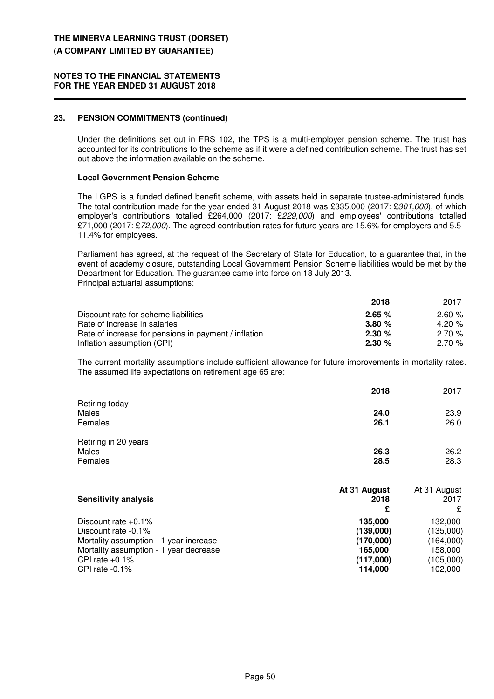#### **NOTES TO THE FINANCIAL STATEMENTS FOR THE YEAR ENDED 31 AUGUST 2018**

# **23. PENSION COMMITMENTS (continued)**

Under the definitions set out in FRS 102, the TPS is a multi-employer pension scheme. The trust has accounted for its contributions to the scheme as if it were a defined contribution scheme. The trust has set out above the information available on the scheme.

#### **Local Government Pension Scheme**

The LGPS is a funded defined benefit scheme, with assets held in separate trustee-administered funds. The total contribution made for the year ended 31 August 2018 was £335,000 (2017: £301,000), of which employer's contributions totalled £264,000 (2017: £229,000) and employees' contributions totalled £71,000 (2017: £72,000). The agreed contribution rates for future years are 15.6% for employers and 5.5 -11.4% for employees.

Parliament has agreed, at the request of the Secretary of State for Education, to a guarantee that, in the event of academy closure, outstanding Local Government Pension Scheme liabilities would be met by the Department for Education. The guarantee came into force on 18 July 2013. Principal actuarial assumptions:

|                                                      | 2018      | 2017     |
|------------------------------------------------------|-----------|----------|
| Discount rate for scheme liabilities                 | 2.65%     | 2.60%    |
| Rate of increase in salaries                         | 3.80%     | 4.20 $%$ |
| Rate of increase for pensions in payment / inflation | $2.30 \%$ | 2.70%    |
| Inflation assumption (CPI)                           | 2.30%     | 2.70%    |

The current mortality assumptions include sufficient allowance for future improvements in mortality rates. The assumed life expectations on retirement age 65 are:

|                                    | 2018         | 2017         |
|------------------------------------|--------------|--------------|
| Retiring today<br>Males<br>Females | 24.0<br>26.1 | 23.9<br>26.0 |
| Retiring in 20 years<br>Males      | 26.3         | 26.2         |
| Females                            | 28.5         | 28.3         |
|                                    | At 31 August | At 31 August |
| <b>Sensitivity analysis</b>        | 2018         | 2017         |

|                                        | £         | £         |
|----------------------------------------|-----------|-----------|
| Discount rate $+0.1\%$                 | 135,000   | 132.000   |
| Discount rate -0.1%                    | (139,000) | (135,000) |
| Mortality assumption - 1 year increase | (170,000) | (164,000) |
| Mortality assumption - 1 year decrease | 165,000   | 158.000   |
| CPI rate $+0.1\%$                      | (117,000) | (105,000) |
| CPI rate $-0.1\%$                      | 114.000   | 102,000   |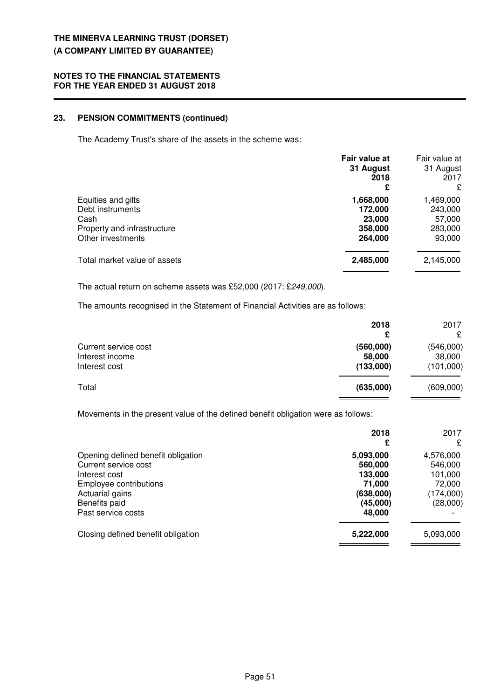## **NOTES TO THE FINANCIAL STATEMENTS FOR THE YEAR ENDED 31 AUGUST 2018**

# **23. PENSION COMMITMENTS (continued)**

The Academy Trust's share of the assets in the scheme was:

|                                                                                                    | Fair value at<br>31 August<br>2018<br>£              | Fair value at<br>31 August<br>2017<br>£             |
|----------------------------------------------------------------------------------------------------|------------------------------------------------------|-----------------------------------------------------|
| Equities and gilts<br>Debt instruments<br>Cash<br>Property and infrastructure<br>Other investments | 1,668,000<br>172,000<br>23,000<br>358,000<br>264,000 | 1,469,000<br>243,000<br>57,000<br>283,000<br>93,000 |
| Total market value of assets                                                                       | 2,485,000                                            | 2,145,000                                           |

The actual return on scheme assets was £52,000 (2017: £249,000).

The amounts recognised in the Statement of Financial Activities are as follows:

|                                                          | 2018<br>£                        | 2017<br>£                        |
|----------------------------------------------------------|----------------------------------|----------------------------------|
| Current service cost<br>Interest income<br>Interest cost | (560,000)<br>58,000<br>(133,000) | (546,000)<br>38,000<br>(101,000) |
| Total                                                    | (635,000)                        | (609,000)                        |

Movements in the present value of the defined benefit obligation were as follows:

|                                                                                                                                                                 | 2018<br>£                                                                    | 2017<br>£                                                          |
|-----------------------------------------------------------------------------------------------------------------------------------------------------------------|------------------------------------------------------------------------------|--------------------------------------------------------------------|
| Opening defined benefit obligation<br>Current service cost<br>Interest cost<br>Employee contributions<br>Actuarial gains<br>Benefits paid<br>Past service costs | 5,093,000<br>560,000<br>133,000<br>71,000<br>(638,000)<br>(45,000)<br>48,000 | 4,576,000<br>546,000<br>101,000<br>72,000<br>(174,000)<br>(28,000) |
| Closing defined benefit obligation                                                                                                                              | 5,222,000                                                                    | 5,093,000                                                          |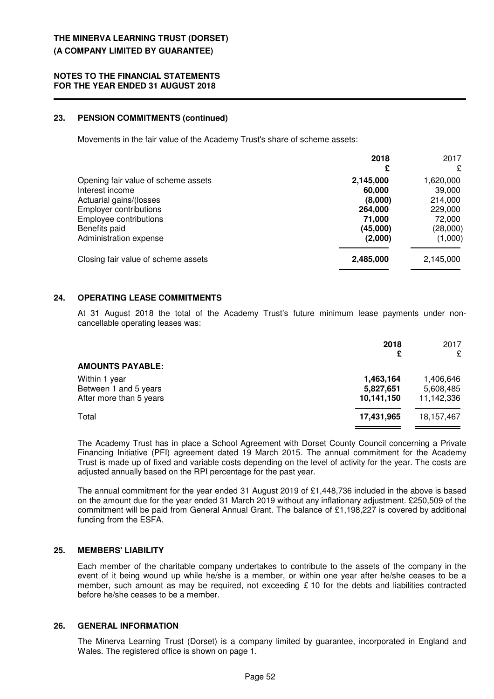#### **23. PENSION COMMITMENTS (continued)**

Movements in the fair value of the Academy Trust's share of scheme assets:

|                                                                                                                                                                                         | 2018<br>£                                                                  | 2017<br>£                                                                  |
|-----------------------------------------------------------------------------------------------------------------------------------------------------------------------------------------|----------------------------------------------------------------------------|----------------------------------------------------------------------------|
| Opening fair value of scheme assets<br>Interest income<br>Actuarial gains/(losses<br><b>Employer contributions</b><br>Employee contributions<br>Benefits paid<br>Administration expense | 2,145,000<br>60,000<br>(8,000)<br>264,000<br>71,000<br>(45,000)<br>(2,000) | 1,620,000<br>39,000<br>214,000<br>229,000<br>72,000<br>(28,000)<br>(1,000) |
| Closing fair value of scheme assets                                                                                                                                                     | 2,485,000                                                                  | 2,145,000                                                                  |

# **24. OPERATING LEASE COMMITMENTS**

At 31 August 2018 the total of the Academy Trust's future minimum lease payments under noncancellable operating leases was:

|                                                                   | 2018<br>£                            | 2017<br>£                            |
|-------------------------------------------------------------------|--------------------------------------|--------------------------------------|
| <b>AMOUNTS PAYABLE:</b>                                           |                                      |                                      |
| Within 1 year<br>Between 1 and 5 years<br>After more than 5 years | 1,463,164<br>5,827,651<br>10,141,150 | 1,406,646<br>5,608,485<br>11,142,336 |
| Total                                                             | 17,431,965                           | 18, 157, 467                         |

The Academy Trust has in place a School Agreement with Dorset County Council concerning a Private Financing Initiative (PFI) agreement dated 19 March 2015. The annual commitment for the Academy Trust is made up of fixed and variable costs depending on the level of activity for the year. The costs are adjusted annually based on the RPI percentage for the past year.

The annual commitment for the year ended 31 August 2019 of £1,448,736 included in the above is based on the amount due for the year ended 31 March 2019 without any inflationary adjustment. £250,509 of the commitment will be paid from General Annual Grant. The balance of £1,198,227 is covered by additional funding from the ESFA.

# **25. MEMBERS' LIABILITY**

Each member of the charitable company undertakes to contribute to the assets of the company in the event of it being wound up while he/she is a member, or within one year after he/she ceases to be a member, such amount as may be required, not exceeding  $E$  10 for the debts and liabilities contracted before he/she ceases to be a member.

# **26. GENERAL INFORMATION**

The Minerva Learning Trust (Dorset) is a company limited by guarantee, incorporated in England and Wales. The registered office is shown on page 1.